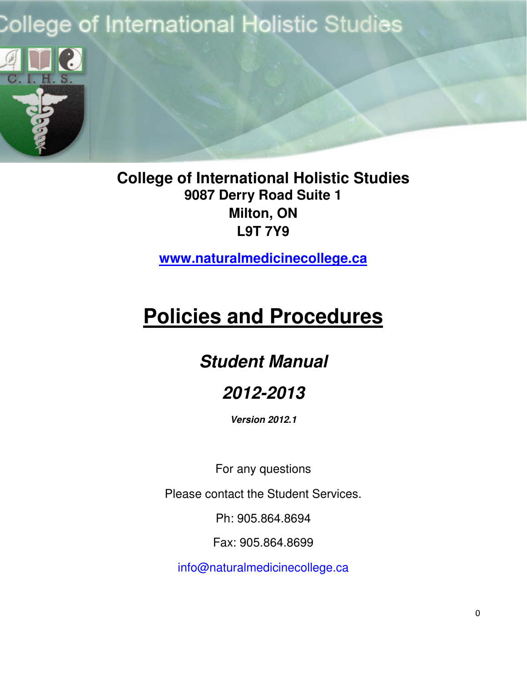# **College of International Holistic Studies**



**College of International Holistic Studies 9087 Derry Road Suite 1 Milton, ON L9T 7Y9** 

**www.naturalmedicinecollege.ca**

# **Policies and Procedures**

# **Student Manual**

# **2012-2013**

**Version 2012.1** 

For any questions

Please contact the Student Services.

Ph: 905.864.8694

Fax: 905.864.8699

info@naturalmedicinecollege.ca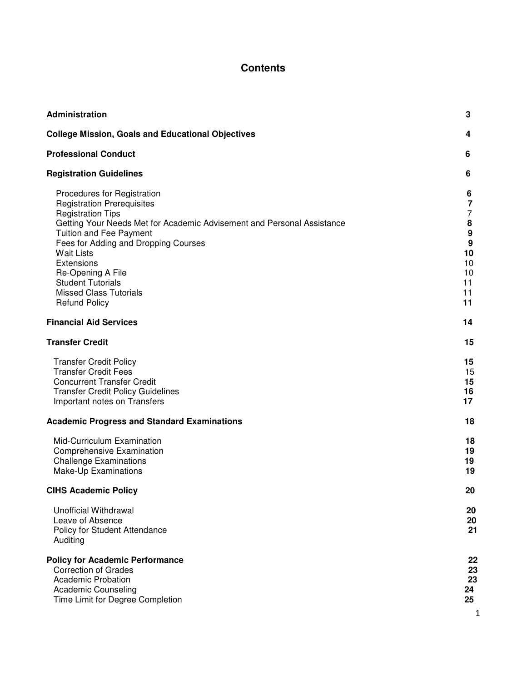### **Contents**

| Administration                                                                                                                                                                                                                                                                                                                                                                                | 3                                                              |
|-----------------------------------------------------------------------------------------------------------------------------------------------------------------------------------------------------------------------------------------------------------------------------------------------------------------------------------------------------------------------------------------------|----------------------------------------------------------------|
| <b>College Mission, Goals and Educational Objectives</b>                                                                                                                                                                                                                                                                                                                                      | 4                                                              |
| <b>Professional Conduct</b>                                                                                                                                                                                                                                                                                                                                                                   | 6                                                              |
| <b>Registration Guidelines</b>                                                                                                                                                                                                                                                                                                                                                                | 6                                                              |
| Procedures for Registration<br><b>Registration Prerequisites</b><br><b>Registration Tips</b><br>Getting Your Needs Met for Academic Advisement and Personal Assistance<br><b>Tuition and Fee Payment</b><br>Fees for Adding and Dropping Courses<br><b>Wait Lists</b><br>Extensions<br>Re-Opening A File<br><b>Student Tutorials</b><br><b>Missed Class Tutorials</b><br><b>Refund Policy</b> | 6<br>7<br>7<br>8<br>9<br>9<br>10<br>10<br>10<br>11<br>11<br>11 |
| <b>Financial Aid Services</b>                                                                                                                                                                                                                                                                                                                                                                 | 14                                                             |
| <b>Transfer Credit</b>                                                                                                                                                                                                                                                                                                                                                                        | 15                                                             |
| <b>Transfer Credit Policy</b><br><b>Transfer Credit Fees</b><br><b>Concurrent Transfer Credit</b><br><b>Transfer Credit Policy Guidelines</b><br>Important notes on Transfers                                                                                                                                                                                                                 | 15<br>15<br>15<br>16<br>17                                     |
| <b>Academic Progress and Standard Examinations</b>                                                                                                                                                                                                                                                                                                                                            | 18                                                             |
| Mid-Curriculum Examination<br><b>Comprehensive Examination</b><br><b>Challenge Examinations</b><br>Make-Up Examinations                                                                                                                                                                                                                                                                       | 18<br>19<br>19<br>19                                           |
| <b>CIHS Academic Policy</b>                                                                                                                                                                                                                                                                                                                                                                   | 20                                                             |
| <b>Unofficial Withdrawal</b><br>Leave of Absence<br>Policy for Student Attendance<br>Auditing                                                                                                                                                                                                                                                                                                 | 20<br>20<br>21                                                 |
| <b>Policy for Academic Performance</b><br><b>Correction of Grades</b><br><b>Academic Probation</b><br><b>Academic Counseling</b><br>Time Limit for Degree Completion                                                                                                                                                                                                                          | 22<br>23<br>23<br>24<br>25<br>1                                |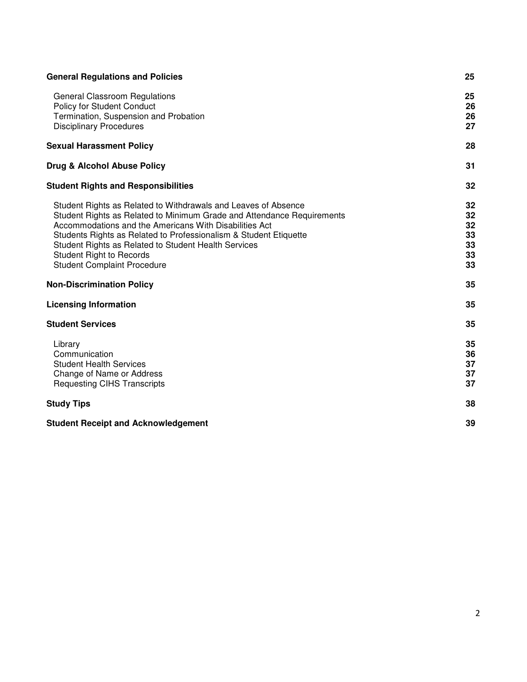| <b>General Regulations and Policies</b>                                                                                                                                                                                                                                                                                                                                                                  | 25                                     |
|----------------------------------------------------------------------------------------------------------------------------------------------------------------------------------------------------------------------------------------------------------------------------------------------------------------------------------------------------------------------------------------------------------|----------------------------------------|
| <b>General Classroom Regulations</b><br>Policy for Student Conduct<br>Termination, Suspension and Probation<br><b>Disciplinary Procedures</b>                                                                                                                                                                                                                                                            | 25<br>26<br>26<br>27                   |
| <b>Sexual Harassment Policy</b>                                                                                                                                                                                                                                                                                                                                                                          | 28                                     |
| Drug & Alcohol Abuse Policy                                                                                                                                                                                                                                                                                                                                                                              | 31                                     |
| <b>Student Rights and Responsibilities</b>                                                                                                                                                                                                                                                                                                                                                               | 32                                     |
| Student Rights as Related to Withdrawals and Leaves of Absence<br>Student Rights as Related to Minimum Grade and Attendance Requirements<br>Accommodations and the Americans With Disabilities Act<br>Students Rights as Related to Professionalism & Student Etiquette<br>Student Rights as Related to Student Health Services<br><b>Student Right to Records</b><br><b>Student Complaint Procedure</b> | 32<br>32<br>32<br>33<br>33<br>33<br>33 |
| <b>Non-Discrimination Policy</b>                                                                                                                                                                                                                                                                                                                                                                         | 35                                     |
| <b>Licensing Information</b>                                                                                                                                                                                                                                                                                                                                                                             | 35                                     |
| <b>Student Services</b>                                                                                                                                                                                                                                                                                                                                                                                  | 35                                     |
| Library<br>Communication<br><b>Student Health Services</b><br>Change of Name or Address<br><b>Requesting CIHS Transcripts</b>                                                                                                                                                                                                                                                                            | 35<br>36<br>37<br>37<br>37             |
| <b>Study Tips</b>                                                                                                                                                                                                                                                                                                                                                                                        | 38                                     |
| <b>Student Receipt and Acknowledgement</b>                                                                                                                                                                                                                                                                                                                                                               | 39                                     |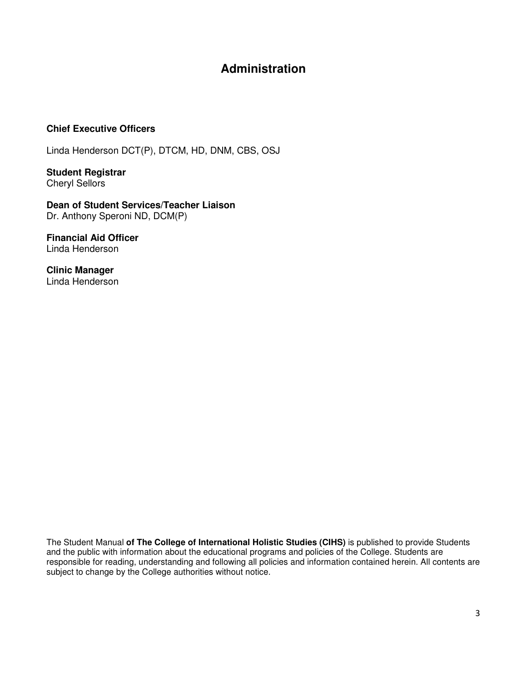# **Administration**

#### **Chief Executive Officers**

Linda Henderson DCT(P), DTCM, HD, DNM, CBS, OSJ

**Student Registrar**  Cheryl Sellors

**Dean of Student Services/Teacher Liaison**  Dr. Anthony Speroni ND, DCM(P)

**Financial Aid Officer** Linda Henderson

**Clinic Manager**  Linda Henderson

The Student Manual **of The College of International Holistic Studies (CIHS)** is published to provide Students and the public with information about the educational programs and policies of the College. Students are responsible for reading, understanding and following all policies and information contained herein. All contents are subject to change by the College authorities without notice.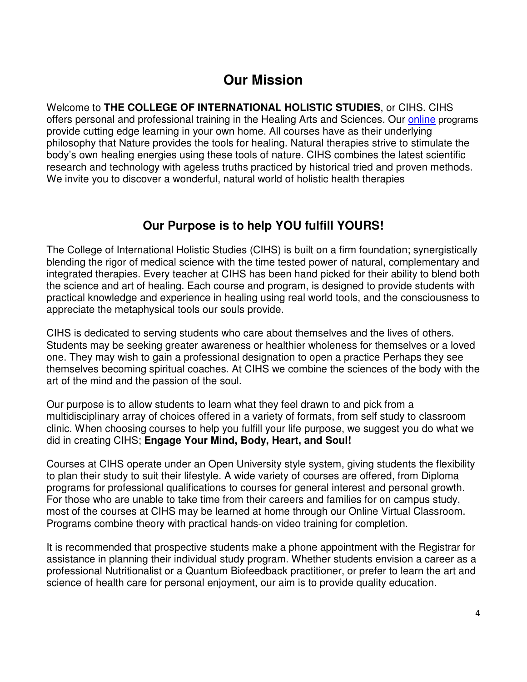# **Our Mission**

Welcome to **THE COLLEGE OF INTERNATIONAL HOLISTIC STUDIES**, or CIHS. CIHS offers personal and professional training in the Healing Arts and Sciences. Our online programs provide cutting edge learning in your own home. All courses have as their underlying philosophy that Nature provides the tools for healing. Natural therapies strive to stimulate the body's own healing energies using these tools of nature. CIHS combines the latest scientific research and technology with ageless truths practiced by historical tried and proven methods. We invite you to discover a wonderful, natural world of holistic health therapies

# **Our Purpose is to help YOU fulfill YOURS!**

The College of International Holistic Studies (CIHS) is built on a firm foundation; synergistically blending the rigor of medical science with the time tested power of natural, complementary and integrated therapies. Every teacher at CIHS has been hand picked for their ability to blend both the science and art of healing. Each course and program, is designed to provide students with practical knowledge and experience in healing using real world tools, and the consciousness to appreciate the metaphysical tools our souls provide.

CIHS is dedicated to serving students who care about themselves and the lives of others. Students may be seeking greater awareness or healthier wholeness for themselves or a loved one. They may wish to gain a professional designation to open a practice Perhaps they see themselves becoming spiritual coaches. At CIHS we combine the sciences of the body with the art of the mind and the passion of the soul.

Our purpose is to allow students to learn what they feel drawn to and pick from a multidisciplinary array of choices offered in a variety of formats, from self study to classroom clinic. When choosing courses to help you fulfill your life purpose, we suggest you do what we did in creating CIHS; **Engage Your Mind, Body, Heart, and Soul!** 

Courses at CIHS operate under an Open University style system, giving students the flexibility to plan their study to suit their lifestyle. A wide variety of courses are offered, from Diploma programs for professional qualifications to courses for general interest and personal growth. For those who are unable to take time from their careers and families for on campus study, most of the courses at CIHS may be learned at home through our Online Virtual Classroom. Programs combine theory with practical hands-on video training for completion.

It is recommended that prospective students make a phone appointment with the Registrar for assistance in planning their individual study program. Whether students envision a career as a professional Nutritionalist or a Quantum Biofeedback practitioner, or prefer to learn the art and science of health care for personal enjoyment, our aim is to provide quality education.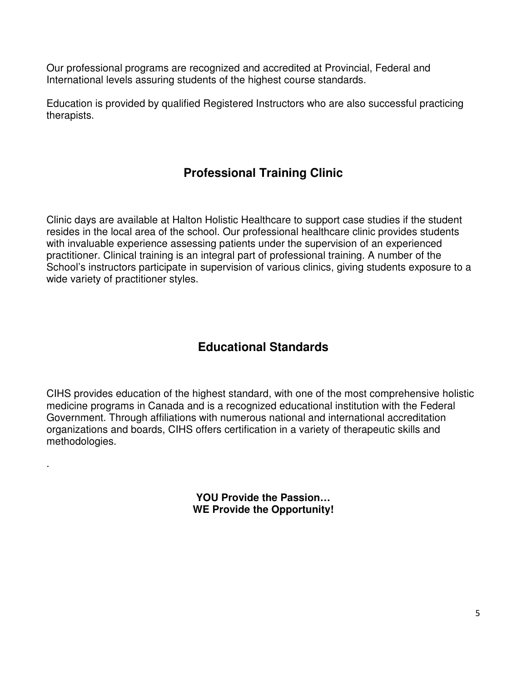Our professional programs are recognized and accredited at Provincial, Federal and International levels assuring students of the highest course standards.

Education is provided by qualified Registered Instructors who are also successful practicing therapists.

# **Professional Training Clinic**

Clinic days are available at Halton Holistic Healthcare to support case studies if the student resides in the local area of the school. Our professional healthcare clinic provides students with invaluable experience assessing patients under the supervision of an experienced practitioner. Clinical training is an integral part of professional training. A number of the School's instructors participate in supervision of various clinics, giving students exposure to a wide variety of practitioner styles.

# **Educational Standards**

CIHS provides education of the highest standard, with one of the most comprehensive holistic medicine programs in Canada and is a recognized educational institution with the Federal Government. Through affiliations with numerous national and international accreditation organizations and boards, CIHS offers certification in a variety of therapeutic skills and methodologies.

.

**YOU Provide the Passion… WE Provide the Opportunity!**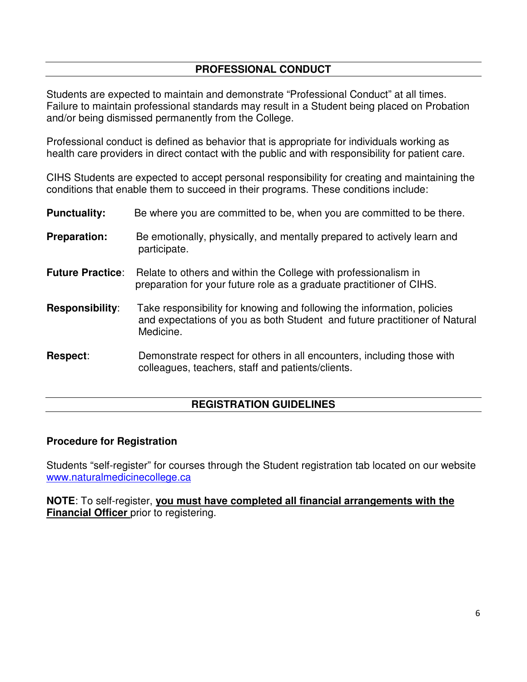### **PROFESSIONAL CONDUCT**

Students are expected to maintain and demonstrate "Professional Conduct" at all times. Failure to maintain professional standards may result in a Student being placed on Probation and/or being dismissed permanently from the College.

Professional conduct is defined as behavior that is appropriate for individuals working as health care providers in direct contact with the public and with responsibility for patient care.

CIHS Students are expected to accept personal responsibility for creating and maintaining the conditions that enable them to succeed in their programs. These conditions include:

| <b>Punctuality:</b>     | Be where you are committed to be, when you are committed to be there.                                                                                              |
|-------------------------|--------------------------------------------------------------------------------------------------------------------------------------------------------------------|
| <b>Preparation:</b>     | Be emotionally, physically, and mentally prepared to actively learn and<br>participate.                                                                            |
| <b>Future Practice:</b> | Relate to others and within the College with professionalism in<br>preparation for your future role as a graduate practitioner of CIHS.                            |
| <b>Responsibility:</b>  | Take responsibility for knowing and following the information, policies<br>and expectations of you as both Student and future practitioner of Natural<br>Medicine. |
| Respect:                | Demonstrate respect for others in all encounters, including those with<br>colleagues, teachers, staff and patients/clients.                                        |

### **REGISTRATION GUIDELINES**

### **Procedure for Registration**

Students "self-register" for courses through the Student registration tab located on our website www.naturalmedicinecollege.ca

**NOTE**: To self-register, **you must have completed all financial arrangements with the Financial Officer** prior to registering.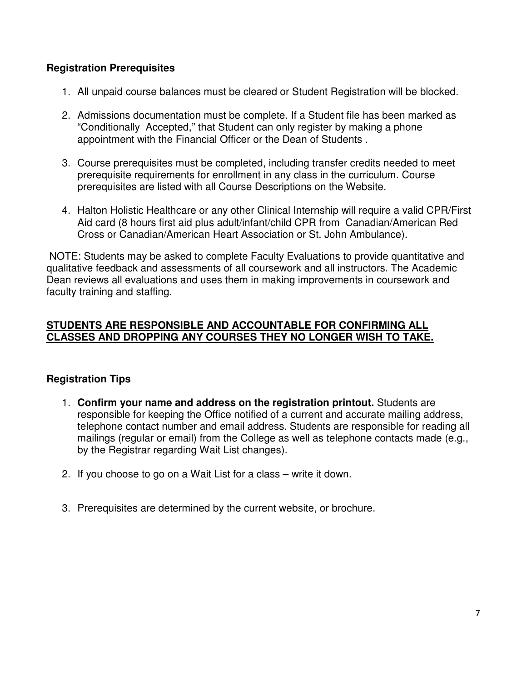### **Registration Prerequisites**

- 1. All unpaid course balances must be cleared or Student Registration will be blocked.
- 2. Admissions documentation must be complete. If a Student file has been marked as "Conditionally Accepted," that Student can only register by making a phone appointment with the Financial Officer or the Dean of Students .
- 3. Course prerequisites must be completed, including transfer credits needed to meet prerequisite requirements for enrollment in any class in the curriculum. Course prerequisites are listed with all Course Descriptions on the Website.
- 4. Halton Holistic Healthcare or any other Clinical Internship will require a valid CPR/First Aid card (8 hours first aid plus adult/infant/child CPR from Canadian/American Red Cross or Canadian/American Heart Association or St. John Ambulance).

 NOTE: Students may be asked to complete Faculty Evaluations to provide quantitative and qualitative feedback and assessments of all coursework and all instructors. The Academic Dean reviews all evaluations and uses them in making improvements in coursework and faculty training and staffing.

### **STUDENTS ARE RESPONSIBLE AND ACCOUNTABLE FOR CONFIRMING ALL CLASSES AND DROPPING ANY COURSES THEY NO LONGER WISH TO TAKE.**

### **Registration Tips**

- 1. **Confirm your name and address on the registration printout.** Students are responsible for keeping the Office notified of a current and accurate mailing address, telephone contact number and email address. Students are responsible for reading all mailings (regular or email) from the College as well as telephone contacts made (e.g., by the Registrar regarding Wait List changes).
- 2. If you choose to go on a Wait List for a class write it down.
- 3. Prerequisites are determined by the current website, or brochure.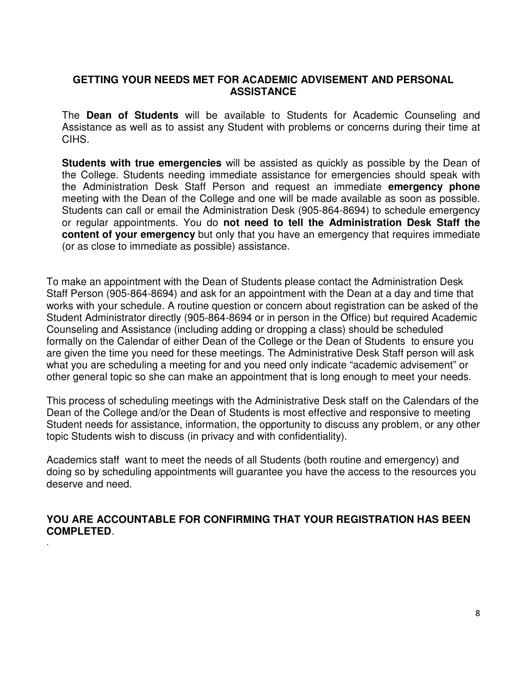### **GETTING YOUR NEEDS MET FOR ACADEMIC ADVISEMENT AND PERSONAL ASSISTANCE**

The **Dean of Students** will be available to Students for Academic Counseling and Assistance as well as to assist any Student with problems or concerns during their time at CIHS.

**Students with true emergencies** will be assisted as quickly as possible by the Dean of the College. Students needing immediate assistance for emergencies should speak with the Administration Desk Staff Person and request an immediate **emergency phone**  meeting with the Dean of the College and one will be made available as soon as possible. Students can call or email the Administration Desk (905-864-8694) to schedule emergency or regular appointments. You do **not need to tell the Administration Desk Staff the content of your emergency** but only that you have an emergency that requires immediate (or as close to immediate as possible) assistance.

To make an appointment with the Dean of Students please contact the Administration Desk Staff Person (905-864-8694) and ask for an appointment with the Dean at a day and time that works with your schedule. A routine question or concern about registration can be asked of the Student Administrator directly (905-864-8694 or in person in the Office) but required Academic Counseling and Assistance (including adding or dropping a class) should be scheduled formally on the Calendar of either Dean of the College or the Dean of Students to ensure you are given the time you need for these meetings. The Administrative Desk Staff person will ask what you are scheduling a meeting for and you need only indicate "academic advisement" or other general topic so she can make an appointment that is long enough to meet your needs.

This process of scheduling meetings with the Administrative Desk staff on the Calendars of the Dean of the College and/or the Dean of Students is most effective and responsive to meeting Student needs for assistance, information, the opportunity to discuss any problem, or any other topic Students wish to discuss (in privacy and with confidentiality).

Academics staff want to meet the needs of all Students (both routine and emergency) and doing so by scheduling appointments will guarantee you have the access to the resources you deserve and need.

### **YOU ARE ACCOUNTABLE FOR CONFIRMING THAT YOUR REGISTRATION HAS BEEN COMPLETED**.

.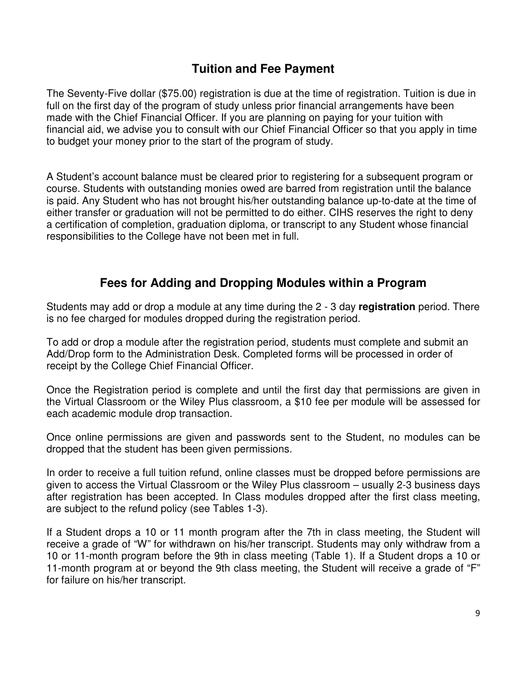# **Tuition and Fee Payment**

The Seventy-Five dollar (\$75.00) registration is due at the time of registration. Tuition is due in full on the first day of the program of study unless prior financial arrangements have been made with the Chief Financial Officer. If you are planning on paying for your tuition with financial aid, we advise you to consult with our Chief Financial Officer so that you apply in time to budget your money prior to the start of the program of study.

A Student's account balance must be cleared prior to registering for a subsequent program or course. Students with outstanding monies owed are barred from registration until the balance is paid. Any Student who has not brought his/her outstanding balance up-to-date at the time of either transfer or graduation will not be permitted to do either. CIHS reserves the right to deny a certification of completion, graduation diploma, or transcript to any Student whose financial responsibilities to the College have not been met in full.

# **Fees for Adding and Dropping Modules within a Program**

Students may add or drop a module at any time during the 2 - 3 day **registration** period. There is no fee charged for modules dropped during the registration period.

To add or drop a module after the registration period, students must complete and submit an Add/Drop form to the Administration Desk. Completed forms will be processed in order of receipt by the College Chief Financial Officer.

Once the Registration period is complete and until the first day that permissions are given in the Virtual Classroom or the Wiley Plus classroom, a \$10 fee per module will be assessed for each academic module drop transaction.

Once online permissions are given and passwords sent to the Student, no modules can be dropped that the student has been given permissions.

In order to receive a full tuition refund, online classes must be dropped before permissions are given to access the Virtual Classroom or the Wiley Plus classroom – usually 2-3 business days after registration has been accepted. In Class modules dropped after the first class meeting, are subject to the refund policy (see Tables 1-3).

If a Student drops a 10 or 11 month program after the 7th in class meeting, the Student will receive a grade of "W" for withdrawn on his/her transcript. Students may only withdraw from a 10 or 11-month program before the 9th in class meeting (Table 1). If a Student drops a 10 or 11-month program at or beyond the 9th class meeting, the Student will receive a grade of "F" for failure on his/her transcript.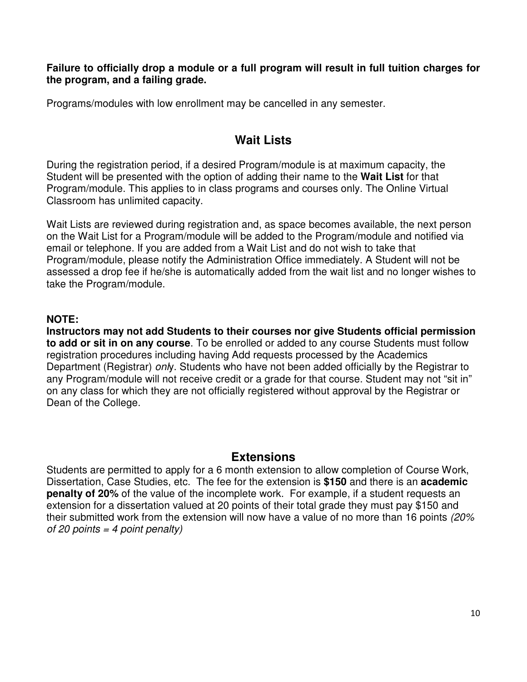**Failure to officially drop a module or a full program will result in full tuition charges for the program, and a failing grade.** 

Programs/modules with low enrollment may be cancelled in any semester.

# **Wait Lists**

During the registration period, if a desired Program/module is at maximum capacity, the Student will be presented with the option of adding their name to the **Wait List** for that Program/module. This applies to in class programs and courses only. The Online Virtual Classroom has unlimited capacity.

Wait Lists are reviewed during registration and, as space becomes available, the next person on the Wait List for a Program/module will be added to the Program/module and notified via email or telephone. If you are added from a Wait List and do not wish to take that Program/module, please notify the Administration Office immediately. A Student will not be assessed a drop fee if he/she is automatically added from the wait list and no longer wishes to take the Program/module.

### **NOTE:**

**Instructors may not add Students to their courses nor give Students official permission to add or sit in on any course**. To be enrolled or added to any course Students must follow registration procedures including having Add requests processed by the Academics Department (Registrar) only. Students who have not been added officially by the Registrar to any Program/module will not receive credit or a grade for that course. Student may not "sit in" on any class for which they are not officially registered without approval by the Registrar or Dean of the College.

### **Extensions**

Students are permitted to apply for a 6 month extension to allow completion of Course Work, Dissertation, Case Studies, etc. The fee for the extension is **\$150** and there is an **academic penalty of 20%** of the value of the incomplete work. For example, if a student requests an extension for a dissertation valued at 20 points of their total grade they must pay \$150 and their submitted work from the extension will now have a value of no more than 16 points (20% of 20 points = 4 point penalty)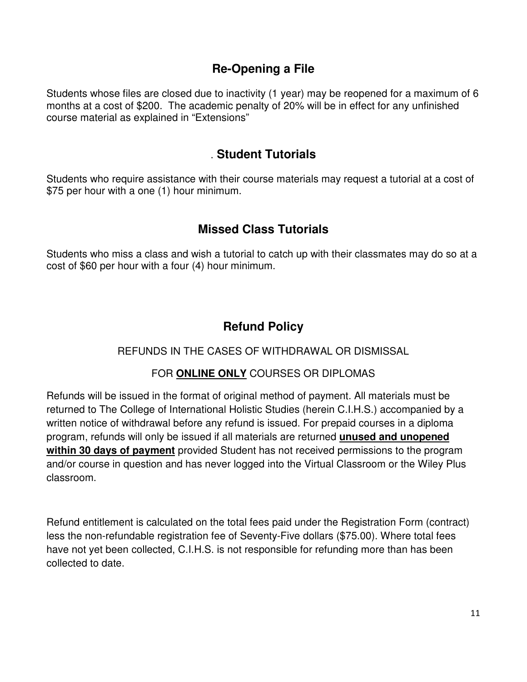# **Re-Opening a File**

Students whose files are closed due to inactivity (1 year) may be reopened for a maximum of 6 months at a cost of \$200. The academic penalty of 20% will be in effect for any unfinished course material as explained in "Extensions"

# . **Student Tutorials**

Students who require assistance with their course materials may request a tutorial at a cost of \$75 per hour with a one (1) hour minimum.

# **Missed Class Tutorials**

Students who miss a class and wish a tutorial to catch up with their classmates may do so at a cost of \$60 per hour with a four (4) hour minimum.

# **Refund Policy**

### REFUNDS IN THE CASES OF WITHDRAWAL OR DISMISSAL

### FOR **ONLINE ONLY** COURSES OR DIPLOMAS

Refunds will be issued in the format of original method of payment. All materials must be returned to The College of International Holistic Studies (herein C.I.H.S.) accompanied by a written notice of withdrawal before any refund is issued. For prepaid courses in a diploma program, refunds will only be issued if all materials are returned **unused and unopened within 30 days of payment** provided Student has not received permissions to the program and/or course in question and has never logged into the Virtual Classroom or the Wiley Plus classroom.

Refund entitlement is calculated on the total fees paid under the Registration Form (contract) less the non-refundable registration fee of Seventy-Five dollars (\$75.00). Where total fees have not yet been collected, C.I.H.S. is not responsible for refunding more than has been collected to date.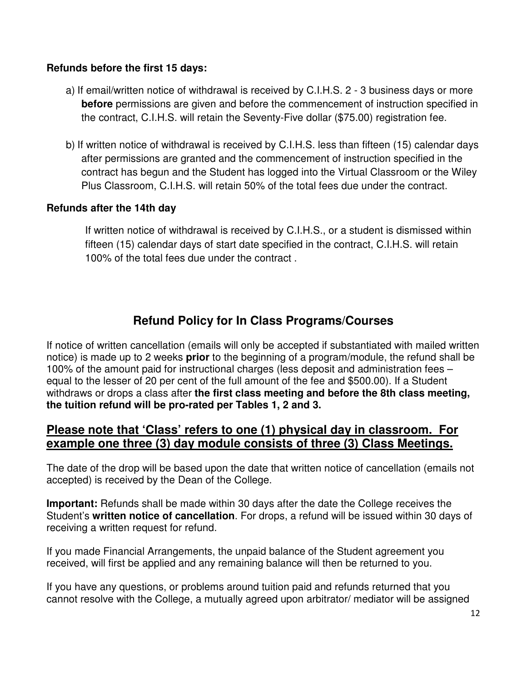### **Refunds before the first 15 days:**

- a) If email/written notice of withdrawal is received by C.I.H.S. 2 3 business days or more **before** permissions are given and before the commencement of instruction specified in the contract, C.I.H.S. will retain the Seventy-Five dollar (\$75.00) registration fee.
- b) If written notice of withdrawal is received by C.I.H.S. less than fifteen (15) calendar days after permissions are granted and the commencement of instruction specified in the contract has begun and the Student has logged into the Virtual Classroom or the Wiley Plus Classroom, C.I.H.S. will retain 50% of the total fees due under the contract.

### **Refunds after the 14th day**

If written notice of withdrawal is received by C.I.H.S., or a student is dismissed within fifteen (15) calendar days of start date specified in the contract, C.I.H.S. will retain 100% of the total fees due under the contract .

# **Refund Policy for In Class Programs/Courses**

If notice of written cancellation (emails will only be accepted if substantiated with mailed written notice) is made up to 2 weeks **prior** to the beginning of a program/module, the refund shall be 100% of the amount paid for instructional charges (less deposit and administration fees – equal to the lesser of 20 per cent of the full amount of the fee and \$500.00). If a Student withdraws or drops a class after **the first class meeting and before the 8th class meeting, the tuition refund will be pro-rated per Tables 1, 2 and 3.** 

### **Please note that 'Class' refers to one (1) physical day in classroom. For example one three (3) day module consists of three (3) Class Meetings.**

The date of the drop will be based upon the date that written notice of cancellation (emails not accepted) is received by the Dean of the College.

**Important:** Refunds shall be made within 30 days after the date the College receives the Student's **written notice of cancellation**. For drops, a refund will be issued within 30 days of receiving a written request for refund.

If you made Financial Arrangements, the unpaid balance of the Student agreement you received, will first be applied and any remaining balance will then be returned to you.

If you have any questions, or problems around tuition paid and refunds returned that you cannot resolve with the College, a mutually agreed upon arbitrator/ mediator will be assigned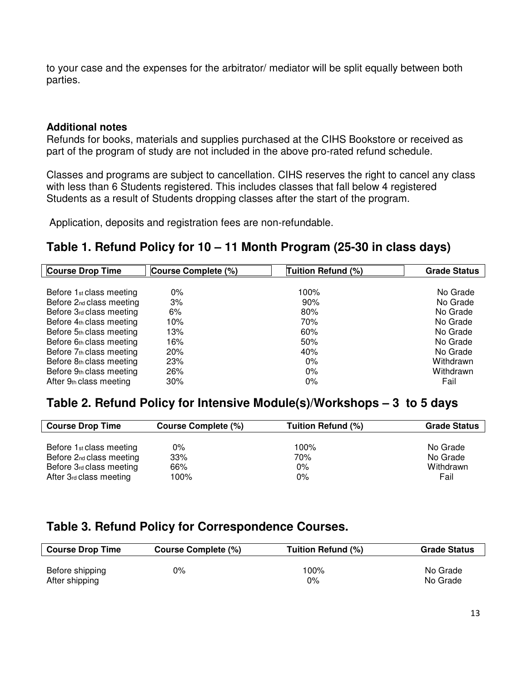to your case and the expenses for the arbitrator/ mediator will be split equally between both parties.

### **Additional notes**

Refunds for books, materials and supplies purchased at the CIHS Bookstore or received as part of the program of study are not included in the above pro-rated refund schedule.

Classes and programs are subject to cancellation. CIHS reserves the right to cancel any class with less than 6 Students registered. This includes classes that fall below 4 registered Students as a result of Students dropping classes after the start of the program.

Application, deposits and registration fees are non-refundable.

# **Table 1. Refund Policy for 10 – 11 Month Program (25-30 in class days)**

| <b>Course Drop Time</b>              | Course Complete (%) | Tuition Refund (%) | <b>Grade Status</b> |
|--------------------------------------|---------------------|--------------------|---------------------|
|                                      |                     |                    |                     |
| Before 1 <sub>st</sub> class meeting | $0\%$               | 100%               | No Grade            |
| Before 2nd class meeting             | 3%                  | 90%                | No Grade            |
| Before 3rd class meeting             | 6%                  | 80%                | No Grade            |
| Before 4th class meeting             | 10%                 | 70%                | No Grade            |
| Before 5th class meeting             | 13%                 | 60%                | No Grade            |
| Before 6th class meeting             | 16%                 | 50%                | No Grade            |
| Before 7th class meeting             | 20%                 | 40%                | No Grade            |
| Before 8th class meeting             | 23%                 | $0\%$              | Withdrawn           |
| Before 9th class meeting             | 26%                 | $0\%$              | Withdrawn           |
| After 9th class meeting              | 30%                 | $0\%$              | Fail                |

### **Table 2. Refund Policy for Intensive Module(s)/Workshops – 3 to 5 days**

| <b>Course Drop Time</b>              | Course Complete (%) | Tuition Refund (%) | <b>Grade Status</b> |
|--------------------------------------|---------------------|--------------------|---------------------|
|                                      |                     |                    |                     |
| Before 1 <sub>st</sub> class meeting | $0\%$               | 100%               | No Grade            |
| Before 2nd class meeting             | 33%                 | 70%                | No Grade            |
| Before 3rd class meeting             | 66%                 | $0\%$              | Withdrawn           |
| After 3rd class meeting              | 100%                | $0\%$              | Fail                |

# **Table 3. Refund Policy for Correspondence Courses.**

| <b>Course Drop Time</b> | Course Complete (%) | Tuition Refund (%) | <b>Grade Status</b> |
|-------------------------|---------------------|--------------------|---------------------|
| Before shipping         | $0\%$               | 100%               | No Grade            |
| After shipping          |                     | $0\%$              | No Grade            |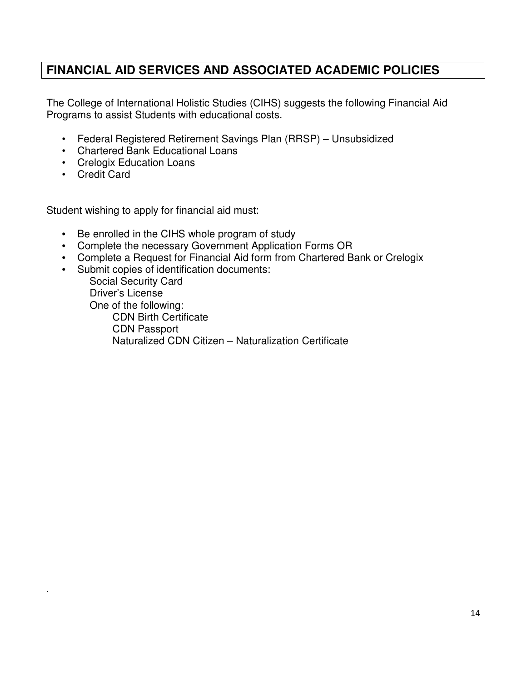# **FINANCIAL AID SERVICES AND ASSOCIATED ACADEMIC POLICIES**

The College of International Holistic Studies (CIHS) suggests the following Financial Aid Programs to assist Students with educational costs.

- Federal Registered Retirement Savings Plan (RRSP) Unsubsidized
- Chartered Bank Educational Loans
- Crelogix Education Loans
- Credit Card

.

Student wishing to apply for financial aid must:

- Be enrolled in the CIHS whole program of study
- Complete the necessary Government Application Forms OR
- Complete a Request for Financial Aid form from Chartered Bank or Crelogix
- Submit copies of identification documents:

 Social Security Card Driver's License One of the following: CDN Birth Certificate CDN Passport Naturalized CDN Citizen – Naturalization Certificate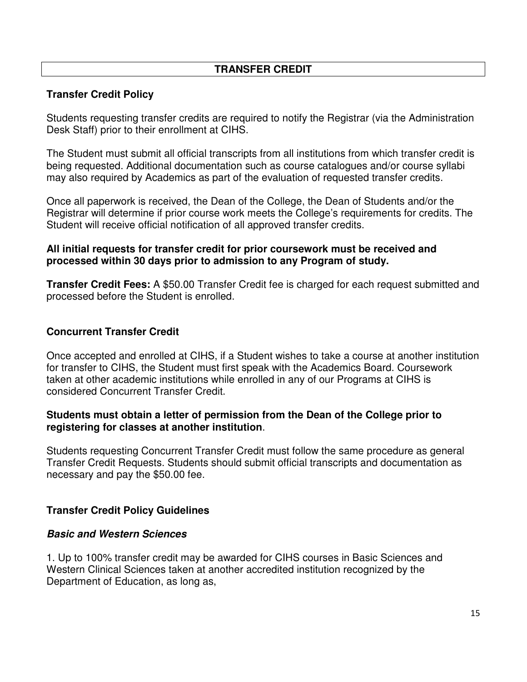### **TRANSFER CREDIT**

### **Transfer Credit Policy**

Students requesting transfer credits are required to notify the Registrar (via the Administration Desk Staff) prior to their enrollment at CIHS.

The Student must submit all official transcripts from all institutions from which transfer credit is being requested. Additional documentation such as course catalogues and/or course syllabi may also required by Academics as part of the evaluation of requested transfer credits.

Once all paperwork is received, the Dean of the College, the Dean of Students and/or the Registrar will determine if prior course work meets the College's requirements for credits. The Student will receive official notification of all approved transfer credits.

### **All initial requests for transfer credit for prior coursework must be received and processed within 30 days prior to admission to any Program of study.**

**Transfer Credit Fees:** A \$50.00 Transfer Credit fee is charged for each request submitted and processed before the Student is enrolled.

### **Concurrent Transfer Credit**

Once accepted and enrolled at CIHS, if a Student wishes to take a course at another institution for transfer to CIHS, the Student must first speak with the Academics Board. Coursework taken at other academic institutions while enrolled in any of our Programs at CIHS is considered Concurrent Transfer Credit.

### **Students must obtain a letter of permission from the Dean of the College prior to registering for classes at another institution**.

Students requesting Concurrent Transfer Credit must follow the same procedure as general Transfer Credit Requests. Students should submit official transcripts and documentation as necessary and pay the \$50.00 fee.

### **Transfer Credit Policy Guidelines**

### **Basic and Western Sciences**

1. Up to 100% transfer credit may be awarded for CIHS courses in Basic Sciences and Western Clinical Sciences taken at another accredited institution recognized by the Department of Education, as long as,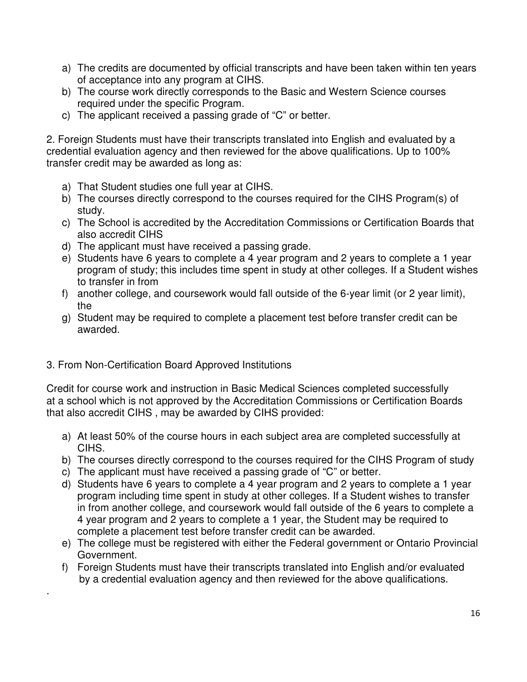- a) The credits are documented by official transcripts and have been taken within ten years of acceptance into any program at CIHS.
- b) The course work directly corresponds to the Basic and Western Science courses required under the specific Program.
- c) The applicant received a passing grade of "C" or better.

2. Foreign Students must have their transcripts translated into English and evaluated by a credential evaluation agency and then reviewed for the above qualifications. Up to 100% transfer credit may be awarded as long as:

- a) That Student studies one full year at CIHS.
- b) The courses directly correspond to the courses required for the CIHS Program(s) of study.
- c) The School is accredited by the Accreditation Commissions or Certification Boards that also accredit CIHS
- d) The applicant must have received a passing grade.
- e) Students have 6 years to complete a 4 year program and 2 years to complete a 1 year program of study; this includes time spent in study at other colleges. If a Student wishes to transfer in from
- f) another college, and coursework would fall outside of the 6-year limit (or 2 year limit), the
- g) Student may be required to complete a placement test before transfer credit can be awarded.
- 3. From Non-Certification Board Approved Institutions

.

Credit for course work and instruction in Basic Medical Sciences completed successfully at a school which is not approved by the Accreditation Commissions or Certification Boards that also accredit CIHS , may be awarded by CIHS provided:

- a) At least 50% of the course hours in each subject area are completed successfully at CIHS.
- b) The courses directly correspond to the courses required for the CIHS Program of study
- c) The applicant must have received a passing grade of "C" or better.
- d) Students have 6 years to complete a 4 year program and 2 years to complete a 1 year program including time spent in study at other colleges. If a Student wishes to transfer in from another college, and coursework would fall outside of the 6 years to complete a 4 year program and 2 years to complete a 1 year, the Student may be required to complete a placement test before transfer credit can be awarded.
- e) The college must be registered with either the Federal government or Ontario Provincial Government.
- f) Foreign Students must have their transcripts translated into English and/or evaluated by a credential evaluation agency and then reviewed for the above qualifications.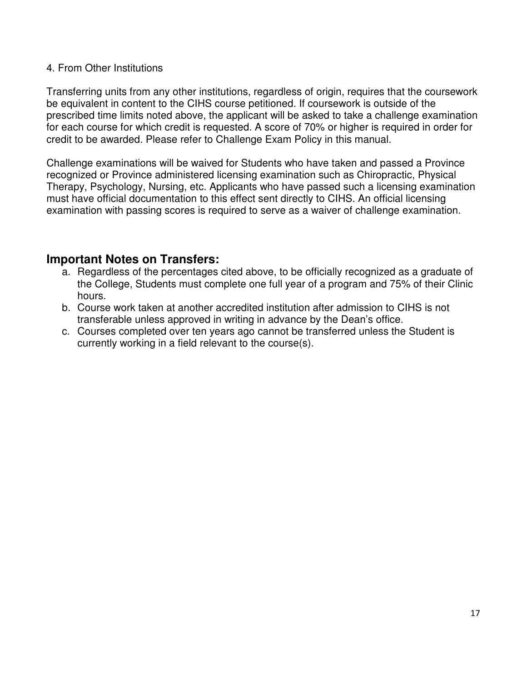### 4. From Other Institutions

Transferring units from any other institutions, regardless of origin, requires that the coursework be equivalent in content to the CIHS course petitioned. If coursework is outside of the prescribed time limits noted above, the applicant will be asked to take a challenge examination for each course for which credit is requested. A score of 70% or higher is required in order for credit to be awarded. Please refer to Challenge Exam Policy in this manual.

Challenge examinations will be waived for Students who have taken and passed a Province recognized or Province administered licensing examination such as Chiropractic, Physical Therapy, Psychology, Nursing, etc. Applicants who have passed such a licensing examination must have official documentation to this effect sent directly to CIHS. An official licensing examination with passing scores is required to serve as a waiver of challenge examination.

### **Important Notes on Transfers:**

- a. Regardless of the percentages cited above, to be officially recognized as a graduate of the College, Students must complete one full year of a program and 75% of their Clinic hours.
- b. Course work taken at another accredited institution after admission to CIHS is not transferable unless approved in writing in advance by the Dean's office.
- c. Courses completed over ten years ago cannot be transferred unless the Student is currently working in a field relevant to the course(s).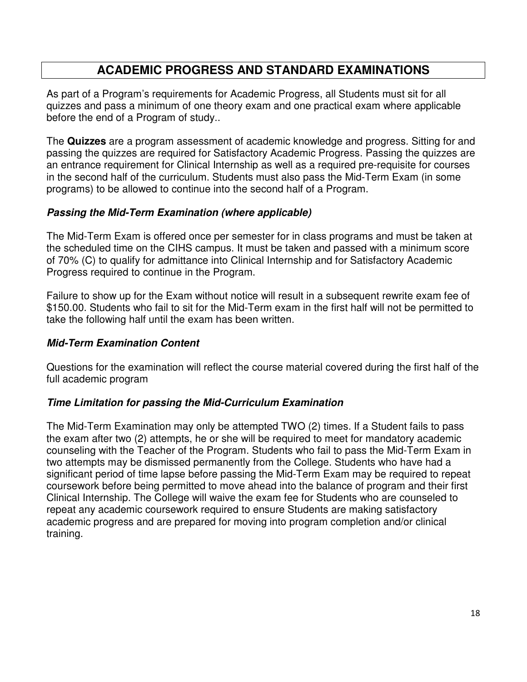# **ACADEMIC PROGRESS AND STANDARD EXAMINATIONS**

As part of a Program's requirements for Academic Progress, all Students must sit for all quizzes and pass a minimum of one theory exam and one practical exam where applicable before the end of a Program of study..

The **Quizzes** are a program assessment of academic knowledge and progress. Sitting for and passing the quizzes are required for Satisfactory Academic Progress. Passing the quizzes are an entrance requirement for Clinical Internship as well as a required pre-requisite for courses in the second half of the curriculum. Students must also pass the Mid-Term Exam (in some programs) to be allowed to continue into the second half of a Program.

### **Passing the Mid-Term Examination (where applicable)**

The Mid-Term Exam is offered once per semester for in class programs and must be taken at the scheduled time on the CIHS campus. It must be taken and passed with a minimum score of 70% (C) to qualify for admittance into Clinical Internship and for Satisfactory Academic Progress required to continue in the Program.

Failure to show up for the Exam without notice will result in a subsequent rewrite exam fee of \$150.00. Students who fail to sit for the Mid-Term exam in the first half will not be permitted to take the following half until the exam has been written.

### **Mid-Term Examination Content**

Questions for the examination will reflect the course material covered during the first half of the full academic program

### **Time Limitation for passing the Mid-Curriculum Examination**

The Mid-Term Examination may only be attempted TWO (2) times. If a Student fails to pass the exam after two (2) attempts, he or she will be required to meet for mandatory academic counseling with the Teacher of the Program. Students who fail to pass the Mid-Term Exam in two attempts may be dismissed permanently from the College. Students who have had a significant period of time lapse before passing the Mid-Term Exam may be required to repeat coursework before being permitted to move ahead into the balance of program and their first Clinical Internship. The College will waive the exam fee for Students who are counseled to repeat any academic coursework required to ensure Students are making satisfactory academic progress and are prepared for moving into program completion and/or clinical training.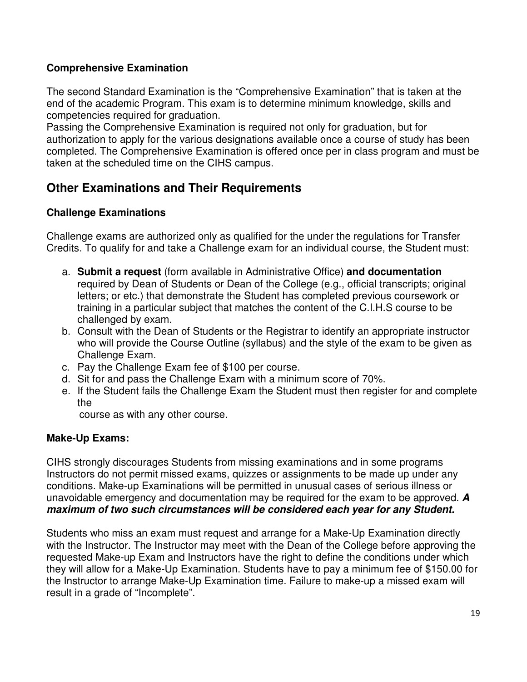### **Comprehensive Examination**

The second Standard Examination is the "Comprehensive Examination" that is taken at the end of the academic Program. This exam is to determine minimum knowledge, skills and competencies required for graduation.

Passing the Comprehensive Examination is required not only for graduation, but for authorization to apply for the various designations available once a course of study has been completed. The Comprehensive Examination is offered once per in class program and must be taken at the scheduled time on the CIHS campus.

# **Other Examinations and Their Requirements**

### **Challenge Examinations**

Challenge exams are authorized only as qualified for the under the regulations for Transfer Credits. To qualify for and take a Challenge exam for an individual course, the Student must:

- a. **Submit a request** (form available in Administrative Office) **and documentation**  required by Dean of Students or Dean of the College (e.g., official transcripts; original letters; or etc.) that demonstrate the Student has completed previous coursework or training in a particular subject that matches the content of the C.I.H.S course to be challenged by exam.
- b. Consult with the Dean of Students or the Registrar to identify an appropriate instructor who will provide the Course Outline (syllabus) and the style of the exam to be given as Challenge Exam.
- c. Pay the Challenge Exam fee of \$100 per course.
- d. Sit for and pass the Challenge Exam with a minimum score of 70%.
- e. If the Student fails the Challenge Exam the Student must then register for and complete the

course as with any other course.

### **Make-Up Exams:**

CIHS strongly discourages Students from missing examinations and in some programs Instructors do not permit missed exams, quizzes or assignments to be made up under any conditions. Make-up Examinations will be permitted in unusual cases of serious illness or unavoidable emergency and documentation may be required for the exam to be approved. **A maximum of two such circumstances will be considered each year for any Student.** 

Students who miss an exam must request and arrange for a Make-Up Examination directly with the Instructor. The Instructor may meet with the Dean of the College before approving the requested Make-up Exam and Instructors have the right to define the conditions under which they will allow for a Make-Up Examination. Students have to pay a minimum fee of \$150.00 for the Instructor to arrange Make-Up Examination time. Failure to make-up a missed exam will result in a grade of "Incomplete".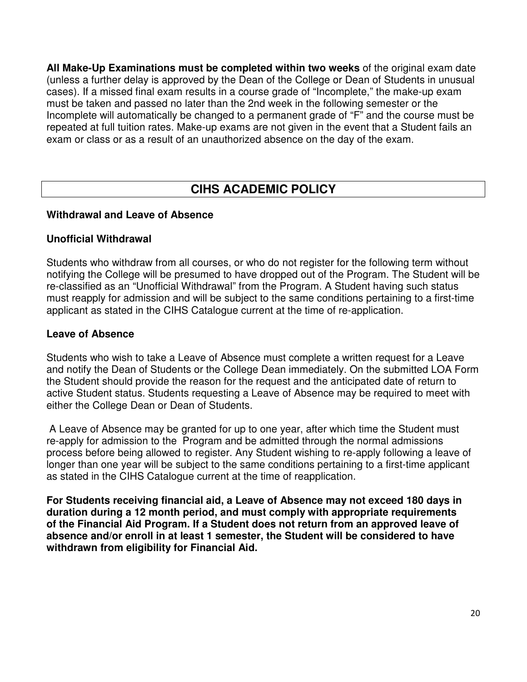**All Make-Up Examinations must be completed within two weeks** of the original exam date (unless a further delay is approved by the Dean of the College or Dean of Students in unusual cases). If a missed final exam results in a course grade of "Incomplete," the make-up exam must be taken and passed no later than the 2nd week in the following semester or the Incomplete will automatically be changed to a permanent grade of "F" and the course must be repeated at full tuition rates. Make-up exams are not given in the event that a Student fails an exam or class or as a result of an unauthorized absence on the day of the exam.

# **CIHS ACADEMIC POLICY**

### **Withdrawal and Leave of Absence**

### **Unofficial Withdrawal**

Students who withdraw from all courses, or who do not register for the following term without notifying the College will be presumed to have dropped out of the Program. The Student will be re-classified as an "Unofficial Withdrawal" from the Program. A Student having such status must reapply for admission and will be subject to the same conditions pertaining to a first-time applicant as stated in the CIHS Catalogue current at the time of re-application.

### **Leave of Absence**

Students who wish to take a Leave of Absence must complete a written request for a Leave and notify the Dean of Students or the College Dean immediately. On the submitted LOA Form the Student should provide the reason for the request and the anticipated date of return to active Student status. Students requesting a Leave of Absence may be required to meet with either the College Dean or Dean of Students.

 A Leave of Absence may be granted for up to one year, after which time the Student must re-apply for admission to the Program and be admitted through the normal admissions process before being allowed to register. Any Student wishing to re-apply following a leave of longer than one year will be subject to the same conditions pertaining to a first-time applicant as stated in the CIHS Catalogue current at the time of reapplication.

**For Students receiving financial aid, a Leave of Absence may not exceed 180 days in duration during a 12 month period, and must comply with appropriate requirements of the Financial Aid Program. If a Student does not return from an approved leave of absence and/or enroll in at least 1 semester, the Student will be considered to have withdrawn from eligibility for Financial Aid.**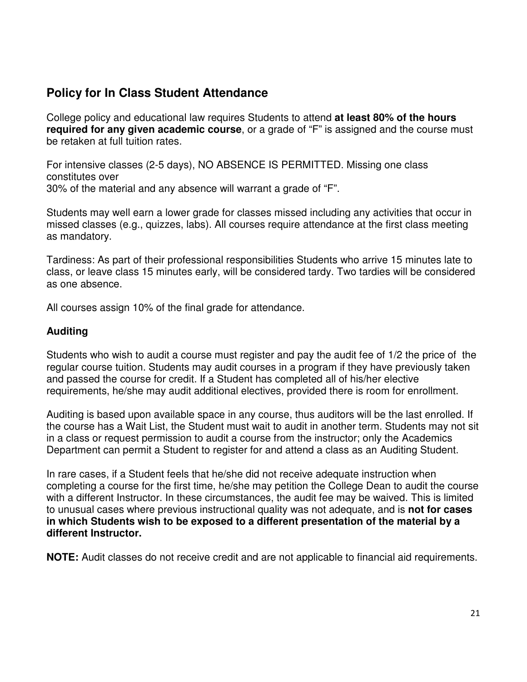# **Policy for In Class Student Attendance**

College policy and educational law requires Students to attend **at least 80% of the hours required for any given academic course**, or a grade of "F" is assigned and the course must be retaken at full tuition rates.

For intensive classes (2-5 days), NO ABSENCE IS PERMITTED. Missing one class constitutes over 30% of the material and any absence will warrant a grade of "F".

Students may well earn a lower grade for classes missed including any activities that occur in missed classes (e.g., quizzes, labs). All courses require attendance at the first class meeting as mandatory.

Tardiness: As part of their professional responsibilities Students who arrive 15 minutes late to class, or leave class 15 minutes early, will be considered tardy. Two tardies will be considered as one absence.

All courses assign 10% of the final grade for attendance.

### **Auditing**

Students who wish to audit a course must register and pay the audit fee of 1/2 the price of the regular course tuition. Students may audit courses in a program if they have previously taken and passed the course for credit. If a Student has completed all of his/her elective requirements, he/she may audit additional electives, provided there is room for enrollment.

Auditing is based upon available space in any course, thus auditors will be the last enrolled. If the course has a Wait List, the Student must wait to audit in another term. Students may not sit in a class or request permission to audit a course from the instructor; only the Academics Department can permit a Student to register for and attend a class as an Auditing Student.

In rare cases, if a Student feels that he/she did not receive adequate instruction when completing a course for the first time, he/she may petition the College Dean to audit the course with a different Instructor. In these circumstances, the audit fee may be waived. This is limited to unusual cases where previous instructional quality was not adequate, and is **not for cases in which Students wish to be exposed to a different presentation of the material by a different Instructor.** 

**NOTE:** Audit classes do not receive credit and are not applicable to financial aid requirements.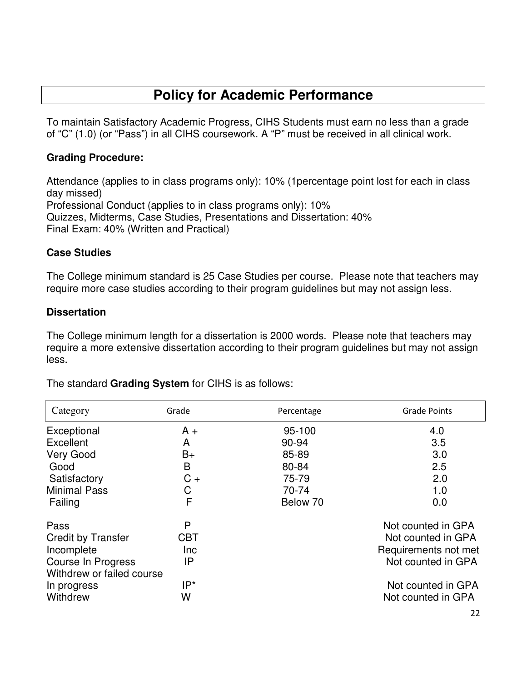# **Policy for Academic Performance**

To maintain Satisfactory Academic Progress, CIHS Students must earn no less than a grade of "C" (1.0) (or "Pass") in all CIHS coursework. A "P" must be received in all clinical work.

### **Grading Procedure:**

Attendance (applies to in class programs only): 10% (1percentage point lost for each in class day missed) Professional Conduct (applies to in class programs only): 10% Quizzes, Midterms, Case Studies, Presentations and Dissertation: 40% Final Exam: 40% (Written and Practical)

### **Case Studies**

The College minimum standard is 25 Case Studies per course. Please note that teachers may require more case studies according to their program guidelines but may not assign less.

### **Dissertation**

The College minimum length for a dissertation is 2000 words. Please note that teachers may require a more extensive dissertation according to their program guidelines but may not assign less.

| Category                  | Grade      | Percentage | <b>Grade Points</b>  |
|---------------------------|------------|------------|----------------------|
| Exceptional               | $A +$      | 95-100     | 4.0                  |
| Excellent                 | A          | 90-94      | 3.5                  |
| <b>Very Good</b>          | $B+$       | 85-89      | 3.0                  |
| Good                      | B          | 80-84      | 2.5                  |
| Satisfactory              | $C +$      | 75-79      | 2.0                  |
| <b>Minimal Pass</b>       | C          | 70-74      | 1.0                  |
| Failing                   | F          | Below 70   | 0.0                  |
| Pass                      | P          |            | Not counted in GPA   |
| <b>Credit by Transfer</b> | <b>CBT</b> |            | Not counted in GPA   |
| Incomplete                | Inc        |            | Requirements not met |
| Course In Progress        | IP         |            | Not counted in GPA   |
| Withdrew or failed course |            |            |                      |
| In progress               | IP*        |            | Not counted in GPA   |
| Withdrew                  | W          |            | Not counted in GPA   |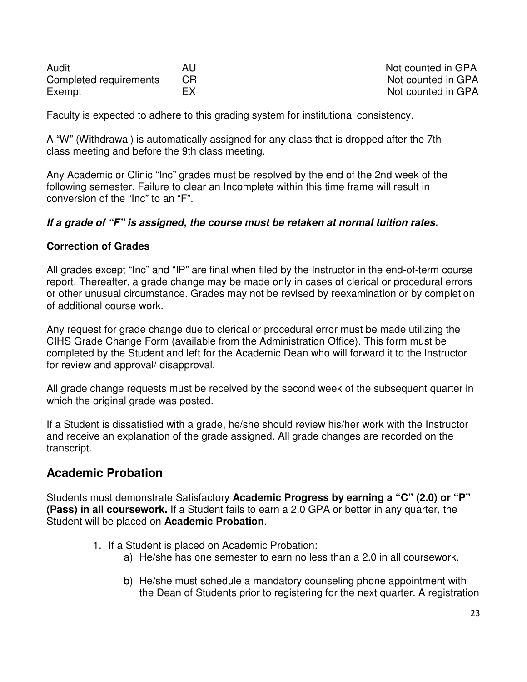| Audit                  | Al |
|------------------------|----|
| Completed requirements | CF |
| Exempt                 | EX |

Audit Audit Audit Audit Audit Audit Audit Audit Audit Audit Audit Audit Audit Audit Audit Audit Audit Audit Au R Complete requirements CR Not counted in GPA Not counted in GPA

Faculty is expected to adhere to this grading system for institutional consistency.

A "W" (Withdrawal) is automatically assigned for any class that is dropped after the 7th class meeting and before the 9th class meeting.

Any Academic or Clinic "Inc" grades must be resolved by the end of the 2nd week of the following semester. Failure to clear an Incomplete within this time frame will result in conversion of the "Inc" to an "F".

### **If a grade of "F" is assigned, the course must be retaken at normal tuition rates.**

### **Correction of Grades**

All grades except "Inc" and "IP" are final when filed by the Instructor in the end-of-term course report. Thereafter, a grade change may be made only in cases of clerical or procedural errors or other unusual circumstance. Grades may not be revised by reexamination or by completion of additional course work.

Any request for grade change due to clerical or procedural error must be made utilizing the CIHS Grade Change Form (available from the Administration Office). This form must be completed by the Student and left for the Academic Dean who will forward it to the Instructor for review and approval/ disapproval.

All grade change requests must be received by the second week of the subsequent quarter in which the original grade was posted.

If a Student is dissatisfied with a grade, he/she should review his/her work with the Instructor and receive an explanation of the grade assigned. All grade changes are recorded on the transcript.

# **Academic Probation**

Students must demonstrate Satisfactory **Academic Progress by earning a "C" (2.0) or "P" (Pass) in all coursework.** If a Student fails to earn a 2.0 GPA or better in any quarter, the Student will be placed on **Academic Probation**.

- 1. If a Student is placed on Academic Probation:
	- a) He/she has one semester to earn no less than a 2.0 in all coursework.
	- b) He/she must schedule a mandatory counseling phone appointment with the Dean of Students prior to registering for the next quarter. A registration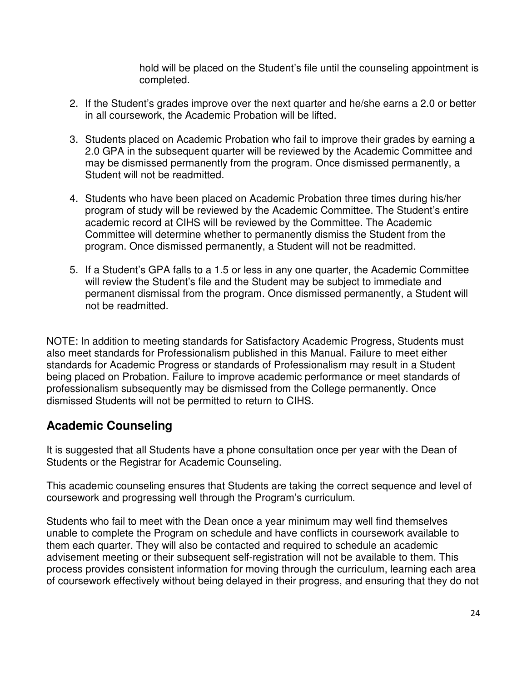hold will be placed on the Student's file until the counseling appointment is completed.

- 2. If the Student's grades improve over the next quarter and he/she earns a 2.0 or better in all coursework, the Academic Probation will be lifted.
- 3. Students placed on Academic Probation who fail to improve their grades by earning a 2.0 GPA in the subsequent quarter will be reviewed by the Academic Committee and may be dismissed permanently from the program. Once dismissed permanently, a Student will not be readmitted.
- 4. Students who have been placed on Academic Probation three times during his/her program of study will be reviewed by the Academic Committee. The Student's entire academic record at CIHS will be reviewed by the Committee. The Academic Committee will determine whether to permanently dismiss the Student from the program. Once dismissed permanently, a Student will not be readmitted.
- 5. If a Student's GPA falls to a 1.5 or less in any one quarter, the Academic Committee will review the Student's file and the Student may be subject to immediate and permanent dismissal from the program. Once dismissed permanently, a Student will not be readmitted.

NOTE: In addition to meeting standards for Satisfactory Academic Progress, Students must also meet standards for Professionalism published in this Manual. Failure to meet either standards for Academic Progress or standards of Professionalism may result in a Student being placed on Probation. Failure to improve academic performance or meet standards of professionalism subsequently may be dismissed from the College permanently. Once dismissed Students will not be permitted to return to CIHS.

# **Academic Counseling**

It is suggested that all Students have a phone consultation once per year with the Dean of Students or the Registrar for Academic Counseling.

This academic counseling ensures that Students are taking the correct sequence and level of coursework and progressing well through the Program's curriculum.

Students who fail to meet with the Dean once a year minimum may well find themselves unable to complete the Program on schedule and have conflicts in coursework available to them each quarter. They will also be contacted and required to schedule an academic advisement meeting or their subsequent self-registration will not be available to them. This process provides consistent information for moving through the curriculum, learning each area of coursework effectively without being delayed in their progress, and ensuring that they do not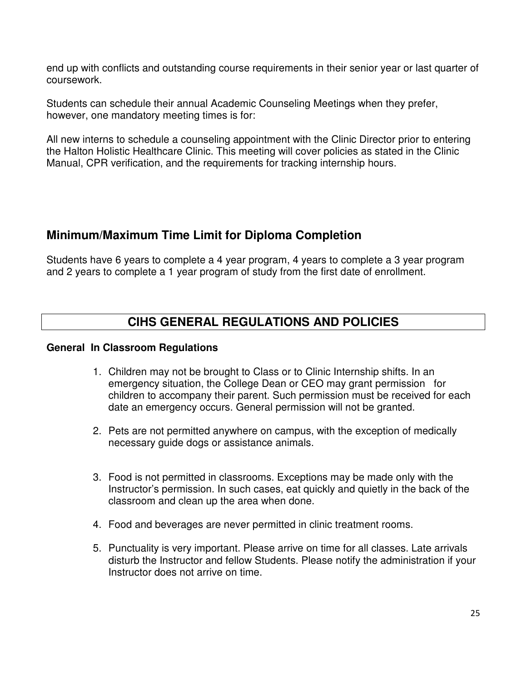end up with conflicts and outstanding course requirements in their senior year or last quarter of coursework.

Students can schedule their annual Academic Counseling Meetings when they prefer, however, one mandatory meeting times is for:

All new interns to schedule a counseling appointment with the Clinic Director prior to entering the Halton Holistic Healthcare Clinic. This meeting will cover policies as stated in the Clinic Manual, CPR verification, and the requirements for tracking internship hours.

# **Minimum/Maximum Time Limit for Diploma Completion**

Students have 6 years to complete a 4 year program, 4 years to complete a 3 year program and 2 years to complete a 1 year program of study from the first date of enrollment.

# **CIHS GENERAL REGULATIONS AND POLICIES**

### **General In Classroom Regulations**

- 1. Children may not be brought to Class or to Clinic Internship shifts. In an emergency situation, the College Dean or CEO may grant permission for children to accompany their parent. Such permission must be received for each date an emergency occurs. General permission will not be granted.
- 2. Pets are not permitted anywhere on campus, with the exception of medically necessary guide dogs or assistance animals.
- 3. Food is not permitted in classrooms. Exceptions may be made only with the Instructor's permission. In such cases, eat quickly and quietly in the back of the classroom and clean up the area when done.
- 4. Food and beverages are never permitted in clinic treatment rooms.
- 5. Punctuality is very important. Please arrive on time for all classes. Late arrivals disturb the Instructor and fellow Students. Please notify the administration if your Instructor does not arrive on time.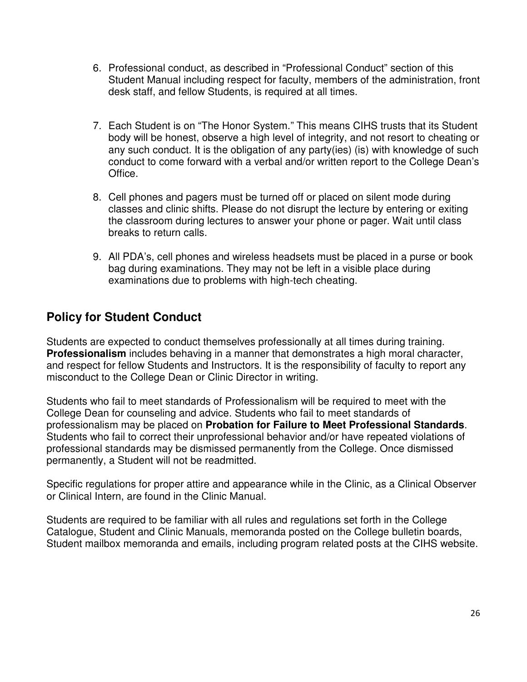- 6. Professional conduct, as described in "Professional Conduct" section of this Student Manual including respect for faculty, members of the administration, front desk staff, and fellow Students, is required at all times.
- 7. Each Student is on "The Honor System." This means CIHS trusts that its Student body will be honest, observe a high level of integrity, and not resort to cheating or any such conduct. It is the obligation of any party(ies) (is) with knowledge of such conduct to come forward with a verbal and/or written report to the College Dean's Office.
- 8. Cell phones and pagers must be turned off or placed on silent mode during classes and clinic shifts. Please do not disrupt the lecture by entering or exiting the classroom during lectures to answer your phone or pager. Wait until class breaks to return calls.
- 9. All PDA's, cell phones and wireless headsets must be placed in a purse or book bag during examinations. They may not be left in a visible place during examinations due to problems with high-tech cheating.

# **Policy for Student Conduct**

Students are expected to conduct themselves professionally at all times during training. **Professionalism** includes behaving in a manner that demonstrates a high moral character, and respect for fellow Students and Instructors. It is the responsibility of faculty to report any misconduct to the College Dean or Clinic Director in writing.

Students who fail to meet standards of Professionalism will be required to meet with the College Dean for counseling and advice. Students who fail to meet standards of professionalism may be placed on **Probation for Failure to Meet Professional Standards**. Students who fail to correct their unprofessional behavior and/or have repeated violations of professional standards may be dismissed permanently from the College. Once dismissed permanently, a Student will not be readmitted.

Specific regulations for proper attire and appearance while in the Clinic, as a Clinical Observer or Clinical Intern, are found in the Clinic Manual.

Students are required to be familiar with all rules and regulations set forth in the College Catalogue, Student and Clinic Manuals, memoranda posted on the College bulletin boards, Student mailbox memoranda and emails, including program related posts at the CIHS website.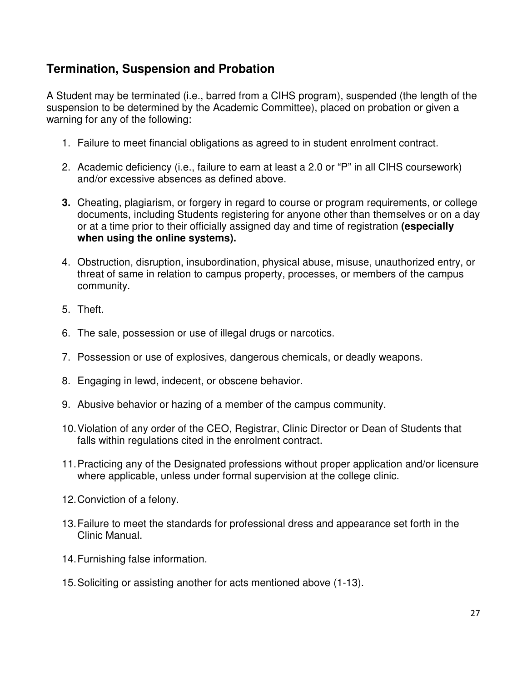# **Termination, Suspension and Probation**

A Student may be terminated (i.e., barred from a CIHS program), suspended (the length of the suspension to be determined by the Academic Committee), placed on probation or given a warning for any of the following:

- 1. Failure to meet financial obligations as agreed to in student enrolment contract.
- 2. Academic deficiency (i.e., failure to earn at least a 2.0 or "P" in all CIHS coursework) and/or excessive absences as defined above.
- **3.** Cheating, plagiarism, or forgery in regard to course or program requirements, or college documents, including Students registering for anyone other than themselves or on a day or at a time prior to their officially assigned day and time of registration **(especially when using the online systems).**
- 4. Obstruction, disruption, insubordination, physical abuse, misuse, unauthorized entry, or threat of same in relation to campus property, processes, or members of the campus community.
- 5. Theft.
- 6. The sale, possession or use of illegal drugs or narcotics.
- 7. Possession or use of explosives, dangerous chemicals, or deadly weapons.
- 8. Engaging in lewd, indecent, or obscene behavior.
- 9. Abusive behavior or hazing of a member of the campus community.
- 10. Violation of any order of the CEO, Registrar, Clinic Director or Dean of Students that falls within regulations cited in the enrolment contract.
- 11. Practicing any of the Designated professions without proper application and/or licensure where applicable, unless under formal supervision at the college clinic.
- 12. Conviction of a felony.
- 13. Failure to meet the standards for professional dress and appearance set forth in the Clinic Manual.
- 14. Furnishing false information.
- 15. Soliciting or assisting another for acts mentioned above (1-13).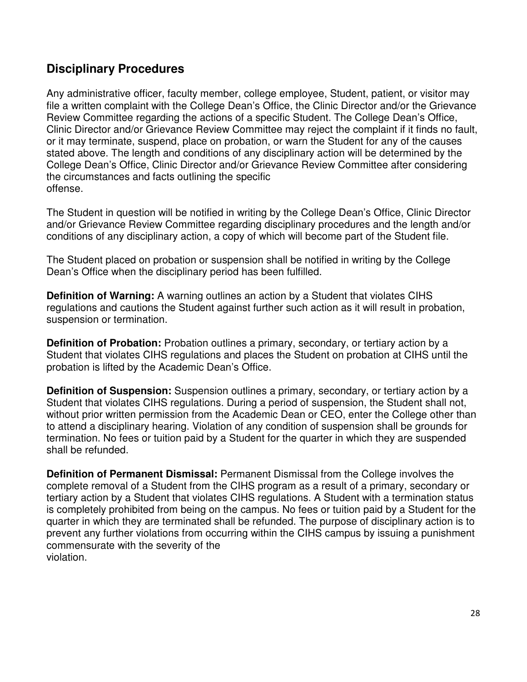# **Disciplinary Procedures**

Any administrative officer, faculty member, college employee, Student, patient, or visitor may file a written complaint with the College Dean's Office, the Clinic Director and/or the Grievance Review Committee regarding the actions of a specific Student. The College Dean's Office, Clinic Director and/or Grievance Review Committee may reject the complaint if it finds no fault, or it may terminate, suspend, place on probation, or warn the Student for any of the causes stated above. The length and conditions of any disciplinary action will be determined by the College Dean's Office, Clinic Director and/or Grievance Review Committee after considering the circumstances and facts outlining the specific offense.

The Student in question will be notified in writing by the College Dean's Office, Clinic Director and/or Grievance Review Committee regarding disciplinary procedures and the length and/or conditions of any disciplinary action, a copy of which will become part of the Student file.

The Student placed on probation or suspension shall be notified in writing by the College Dean's Office when the disciplinary period has been fulfilled.

**Definition of Warning:** A warning outlines an action by a Student that violates CIHS regulations and cautions the Student against further such action as it will result in probation, suspension or termination.

**Definition of Probation:** Probation outlines a primary, secondary, or tertiary action by a Student that violates CIHS regulations and places the Student on probation at CIHS until the probation is lifted by the Academic Dean's Office.

**Definition of Suspension:** Suspension outlines a primary, secondary, or tertiary action by a Student that violates CIHS regulations. During a period of suspension, the Student shall not, without prior written permission from the Academic Dean or CEO, enter the College other than to attend a disciplinary hearing. Violation of any condition of suspension shall be grounds for termination. No fees or tuition paid by a Student for the quarter in which they are suspended shall be refunded.

**Definition of Permanent Dismissal:** Permanent Dismissal from the College involves the complete removal of a Student from the CIHS program as a result of a primary, secondary or tertiary action by a Student that violates CIHS regulations. A Student with a termination status is completely prohibited from being on the campus. No fees or tuition paid by a Student for the quarter in which they are terminated shall be refunded. The purpose of disciplinary action is to prevent any further violations from occurring within the CIHS campus by issuing a punishment commensurate with the severity of the violation.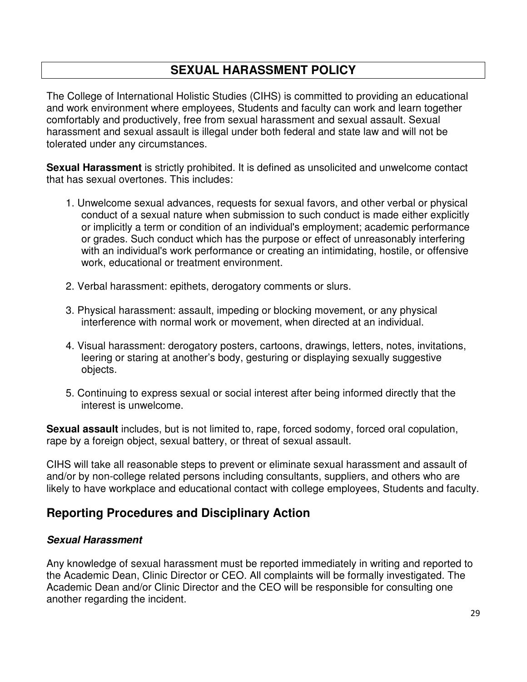# **SEXUAL HARASSMENT POLICY**

The College of International Holistic Studies (CIHS) is committed to providing an educational and work environment where employees, Students and faculty can work and learn together comfortably and productively, free from sexual harassment and sexual assault. Sexual harassment and sexual assault is illegal under both federal and state law and will not be tolerated under any circumstances.

**Sexual Harassment** is strictly prohibited. It is defined as unsolicited and unwelcome contact that has sexual overtones. This includes:

- 1. Unwelcome sexual advances, requests for sexual favors, and other verbal or physical conduct of a sexual nature when submission to such conduct is made either explicitly or implicitly a term or condition of an individual's employment; academic performance or grades. Such conduct which has the purpose or effect of unreasonably interfering with an individual's work performance or creating an intimidating, hostile, or offensive work, educational or treatment environment.
- 2. Verbal harassment: epithets, derogatory comments or slurs.
- 3. Physical harassment: assault, impeding or blocking movement, or any physical interference with normal work or movement, when directed at an individual.
- 4. Visual harassment: derogatory posters, cartoons, drawings, letters, notes, invitations, leering or staring at another's body, gesturing or displaying sexually suggestive objects.
- 5. Continuing to express sexual or social interest after being informed directly that the interest is unwelcome.

**Sexual assault** includes, but is not limited to, rape, forced sodomy, forced oral copulation, rape by a foreign object, sexual battery, or threat of sexual assault.

CIHS will take all reasonable steps to prevent or eliminate sexual harassment and assault of and/or by non-college related persons including consultants, suppliers, and others who are likely to have workplace and educational contact with college employees, Students and faculty.

# **Reporting Procedures and Disciplinary Action**

### **Sexual Harassment**

Any knowledge of sexual harassment must be reported immediately in writing and reported to the Academic Dean, Clinic Director or CEO. All complaints will be formally investigated. The Academic Dean and/or Clinic Director and the CEO will be responsible for consulting one another regarding the incident.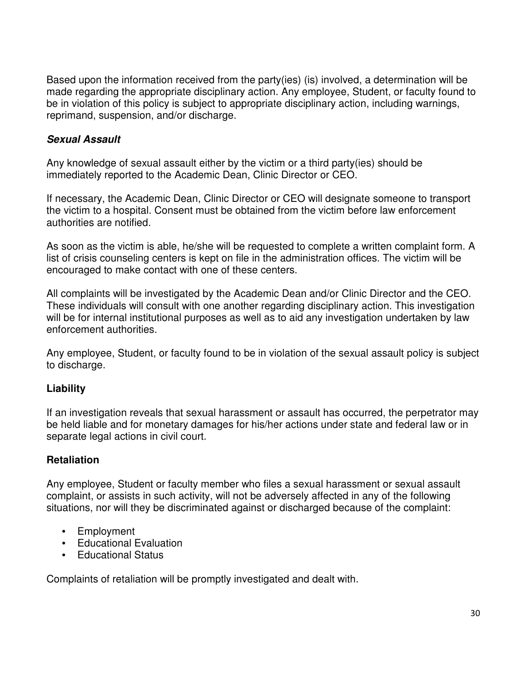Based upon the information received from the party(ies) (is) involved, a determination will be made regarding the appropriate disciplinary action. Any employee, Student, or faculty found to be in violation of this policy is subject to appropriate disciplinary action, including warnings, reprimand, suspension, and/or discharge.

### **Sexual Assault**

Any knowledge of sexual assault either by the victim or a third party(ies) should be immediately reported to the Academic Dean, Clinic Director or CEO.

If necessary, the Academic Dean, Clinic Director or CEO will designate someone to transport the victim to a hospital. Consent must be obtained from the victim before law enforcement authorities are notified.

As soon as the victim is able, he/she will be requested to complete a written complaint form. A list of crisis counseling centers is kept on file in the administration offices. The victim will be encouraged to make contact with one of these centers.

All complaints will be investigated by the Academic Dean and/or Clinic Director and the CEO. These individuals will consult with one another regarding disciplinary action. This investigation will be for internal institutional purposes as well as to aid any investigation undertaken by law enforcement authorities.

Any employee, Student, or faculty found to be in violation of the sexual assault policy is subject to discharge.

### **Liability**

If an investigation reveals that sexual harassment or assault has occurred, the perpetrator may be held liable and for monetary damages for his/her actions under state and federal law or in separate legal actions in civil court.

### **Retaliation**

Any employee, Student or faculty member who files a sexual harassment or sexual assault complaint, or assists in such activity, will not be adversely affected in any of the following situations, nor will they be discriminated against or discharged because of the complaint:

- Employment
- Educational Evaluation
- Educational Status

Complaints of retaliation will be promptly investigated and dealt with.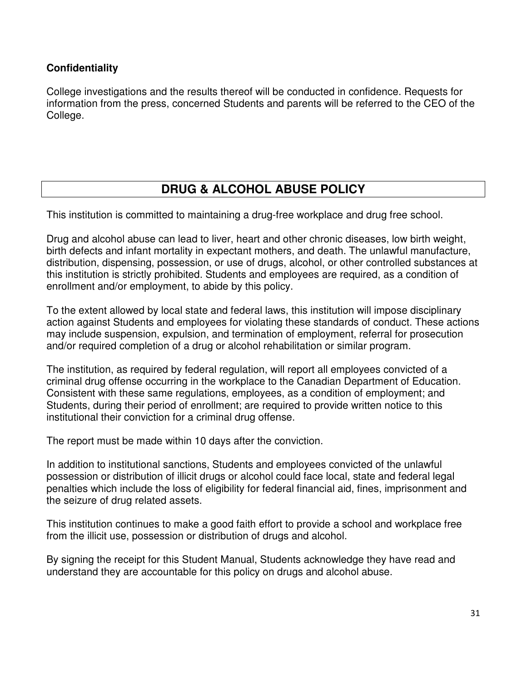### **Confidentiality**

College investigations and the results thereof will be conducted in confidence. Requests for information from the press, concerned Students and parents will be referred to the CEO of the College.

# **DRUG & ALCOHOL ABUSE POLICY**

This institution is committed to maintaining a drug-free workplace and drug free school.

Drug and alcohol abuse can lead to liver, heart and other chronic diseases, low birth weight, birth defects and infant mortality in expectant mothers, and death. The unlawful manufacture, distribution, dispensing, possession, or use of drugs, alcohol, or other controlled substances at this institution is strictly prohibited. Students and employees are required, as a condition of enrollment and/or employment, to abide by this policy.

To the extent allowed by local state and federal laws, this institution will impose disciplinary action against Students and employees for violating these standards of conduct. These actions may include suspension, expulsion, and termination of employment, referral for prosecution and/or required completion of a drug or alcohol rehabilitation or similar program.

The institution, as required by federal regulation, will report all employees convicted of a criminal drug offense occurring in the workplace to the Canadian Department of Education. Consistent with these same regulations, employees, as a condition of employment; and Students, during their period of enrollment; are required to provide written notice to this institutional their conviction for a criminal drug offense.

The report must be made within 10 days after the conviction.

In addition to institutional sanctions, Students and employees convicted of the unlawful possession or distribution of illicit drugs or alcohol could face local, state and federal legal penalties which include the loss of eligibility for federal financial aid, fines, imprisonment and the seizure of drug related assets.

This institution continues to make a good faith effort to provide a school and workplace free from the illicit use, possession or distribution of drugs and alcohol.

By signing the receipt for this Student Manual, Students acknowledge they have read and understand they are accountable for this policy on drugs and alcohol abuse.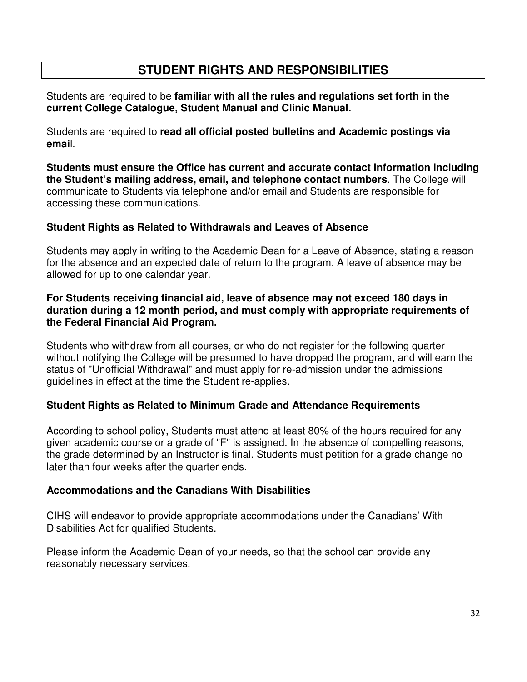# **STUDENT RIGHTS AND RESPONSIBILITIES**

Students are required to be **familiar with all the rules and regulations set forth in the current College Catalogue, Student Manual and Clinic Manual.** 

Students are required to **read all official posted bulletins and Academic postings via emai**l.

**Students must ensure the Office has current and accurate contact information including the Student's mailing address, email, and telephone contact numbers**. The College will communicate to Students via telephone and/or email and Students are responsible for accessing these communications.

### **Student Rights as Related to Withdrawals and Leaves of Absence**

Students may apply in writing to the Academic Dean for a Leave of Absence, stating a reason for the absence and an expected date of return to the program. A leave of absence may be allowed for up to one calendar year.

### **For Students receiving financial aid, leave of absence may not exceed 180 days in duration during a 12 month period, and must comply with appropriate requirements of the Federal Financial Aid Program.**

Students who withdraw from all courses, or who do not register for the following quarter without notifying the College will be presumed to have dropped the program, and will earn the status of "Unofficial Withdrawal" and must apply for re-admission under the admissions guidelines in effect at the time the Student re-applies.

### **Student Rights as Related to Minimum Grade and Attendance Requirements**

According to school policy, Students must attend at least 80% of the hours required for any given academic course or a grade of "F" is assigned. In the absence of compelling reasons, the grade determined by an Instructor is final. Students must petition for a grade change no later than four weeks after the quarter ends.

### **Accommodations and the Canadians With Disabilities**

CIHS will endeavor to provide appropriate accommodations under the Canadians' With Disabilities Act for qualified Students.

Please inform the Academic Dean of your needs, so that the school can provide any reasonably necessary services.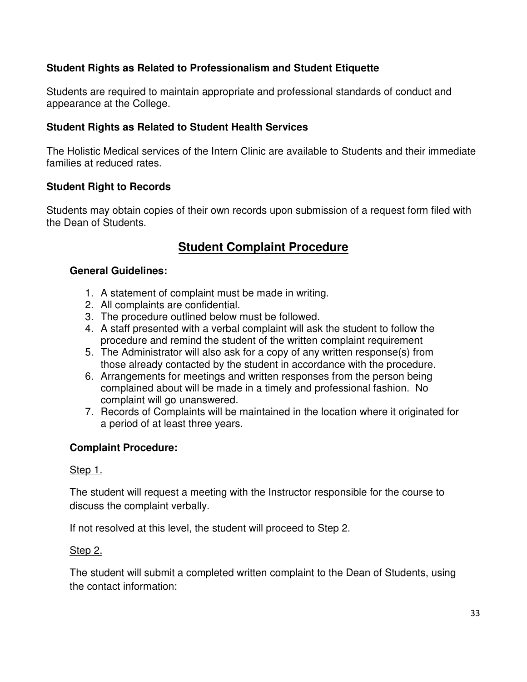### **Student Rights as Related to Professionalism and Student Etiquette**

Students are required to maintain appropriate and professional standards of conduct and appearance at the College.

### **Student Rights as Related to Student Health Services**

The Holistic Medical services of the Intern Clinic are available to Students and their immediate families at reduced rates.

### **Student Right to Records**

Students may obtain copies of their own records upon submission of a request form filed with the Dean of Students.

# **Student Complaint Procedure**

### **General Guidelines:**

- 1. A statement of complaint must be made in writing.
- 2. All complaints are confidential.
- 3. The procedure outlined below must be followed.
- 4. A staff presented with a verbal complaint will ask the student to follow the procedure and remind the student of the written complaint requirement
- 5. The Administrator will also ask for a copy of any written response(s) from those already contacted by the student in accordance with the procedure.
- 6. Arrangements for meetings and written responses from the person being complained about will be made in a timely and professional fashion. No complaint will go unanswered.
- 7. Records of Complaints will be maintained in the location where it originated for a period of at least three years.

### **Complaint Procedure:**

### Step 1.

The student will request a meeting with the Instructor responsible for the course to discuss the complaint verbally.

If not resolved at this level, the student will proceed to Step 2.

### Step 2.

The student will submit a completed written complaint to the Dean of Students, using the contact information: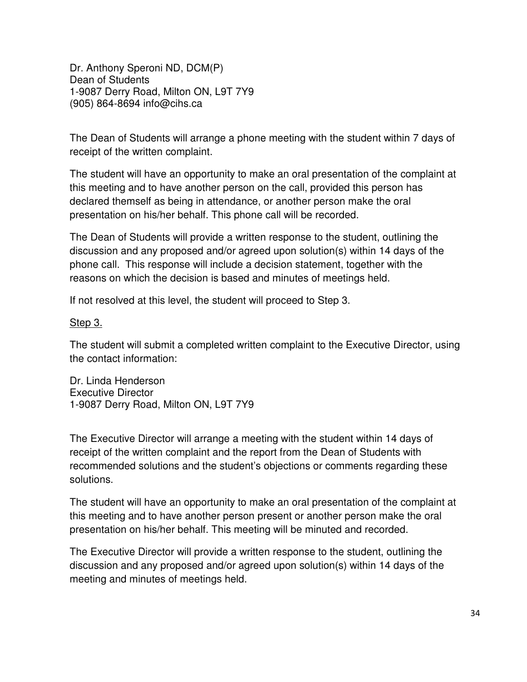Dr. Anthony Speroni ND, DCM(P) Dean of Students 1-9087 Derry Road, Milton ON, L9T 7Y9 (905) 864-8694 info@cihs.ca

The Dean of Students will arrange a phone meeting with the student within 7 days of receipt of the written complaint.

The student will have an opportunity to make an oral presentation of the complaint at this meeting and to have another person on the call, provided this person has declared themself as being in attendance, or another person make the oral presentation on his/her behalf. This phone call will be recorded.

The Dean of Students will provide a written response to the student, outlining the discussion and any proposed and/or agreed upon solution(s) within 14 days of the phone call. This response will include a decision statement, together with the reasons on which the decision is based and minutes of meetings held.

If not resolved at this level, the student will proceed to Step 3.

### Step 3.

The student will submit a completed written complaint to the Executive Director, using the contact information:

Dr. Linda Henderson Executive Director 1-9087 Derry Road, Milton ON, L9T 7Y9

The Executive Director will arrange a meeting with the student within 14 days of receipt of the written complaint and the report from the Dean of Students with recommended solutions and the student's objections or comments regarding these solutions.

The student will have an opportunity to make an oral presentation of the complaint at this meeting and to have another person present or another person make the oral presentation on his/her behalf. This meeting will be minuted and recorded.

The Executive Director will provide a written response to the student, outlining the discussion and any proposed and/or agreed upon solution(s) within 14 days of the meeting and minutes of meetings held.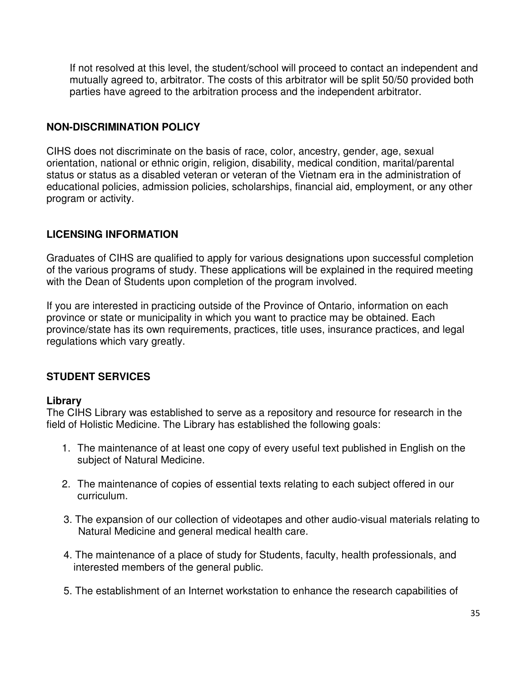If not resolved at this level, the student/school will proceed to contact an independent and mutually agreed to, arbitrator. The costs of this arbitrator will be split 50/50 provided both parties have agreed to the arbitration process and the independent arbitrator.

### **NON-DISCRIMINATION POLICY**

CIHS does not discriminate on the basis of race, color, ancestry, gender, age, sexual orientation, national or ethnic origin, religion, disability, medical condition, marital/parental status or status as a disabled veteran or veteran of the Vietnam era in the administration of educational policies, admission policies, scholarships, financial aid, employment, or any other program or activity.

### **LICENSING INFORMATION**

Graduates of CIHS are qualified to apply for various designations upon successful completion of the various programs of study. These applications will be explained in the required meeting with the Dean of Students upon completion of the program involved.

If you are interested in practicing outside of the Province of Ontario, information on each province or state or municipality in which you want to practice may be obtained. Each province/state has its own requirements, practices, title uses, insurance practices, and legal regulations which vary greatly.

### **STUDENT SERVICES**

### **Library**

The CIHS Library was established to serve as a repository and resource for research in the field of Holistic Medicine. The Library has established the following goals:

- 1. The maintenance of at least one copy of every useful text published in English on the subject of Natural Medicine.
- 2. The maintenance of copies of essential texts relating to each subject offered in our curriculum.
- 3. The expansion of our collection of videotapes and other audio-visual materials relating to Natural Medicine and general medical health care.
- 4. The maintenance of a place of study for Students, faculty, health professionals, and interested members of the general public.
- 5. The establishment of an Internet workstation to enhance the research capabilities of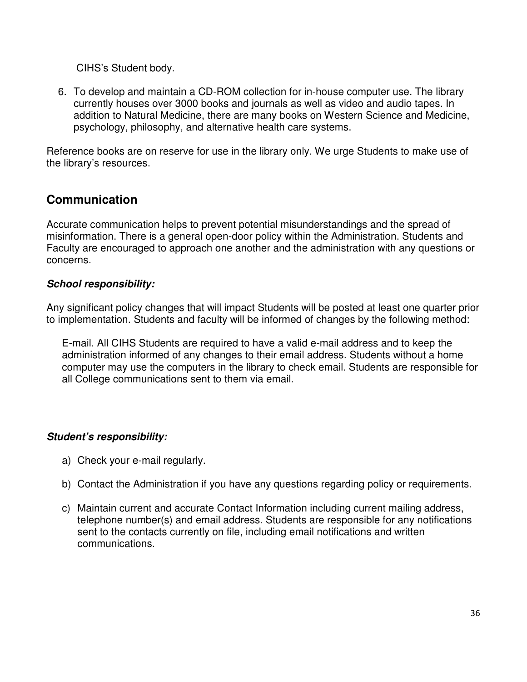CIHS's Student body.

6. To develop and maintain a CD-ROM collection for in-house computer use. The library currently houses over 3000 books and journals as well as video and audio tapes. In addition to Natural Medicine, there are many books on Western Science and Medicine, psychology, philosophy, and alternative health care systems.

Reference books are on reserve for use in the library only. We urge Students to make use of the library's resources.

# **Communication**

Accurate communication helps to prevent potential misunderstandings and the spread of misinformation. There is a general open-door policy within the Administration. Students and Faculty are encouraged to approach one another and the administration with any questions or concerns.

### **School responsibility:**

Any significant policy changes that will impact Students will be posted at least one quarter prior to implementation. Students and faculty will be informed of changes by the following method:

E-mail. All CIHS Students are required to have a valid e-mail address and to keep the administration informed of any changes to their email address. Students without a home computer may use the computers in the library to check email. Students are responsible for all College communications sent to them via email.

### **Student's responsibility:**

- a) Check your e-mail regularly.
- b) Contact the Administration if you have any questions regarding policy or requirements.
- c) Maintain current and accurate Contact Information including current mailing address, telephone number(s) and email address. Students are responsible for any notifications sent to the contacts currently on file, including email notifications and written communications.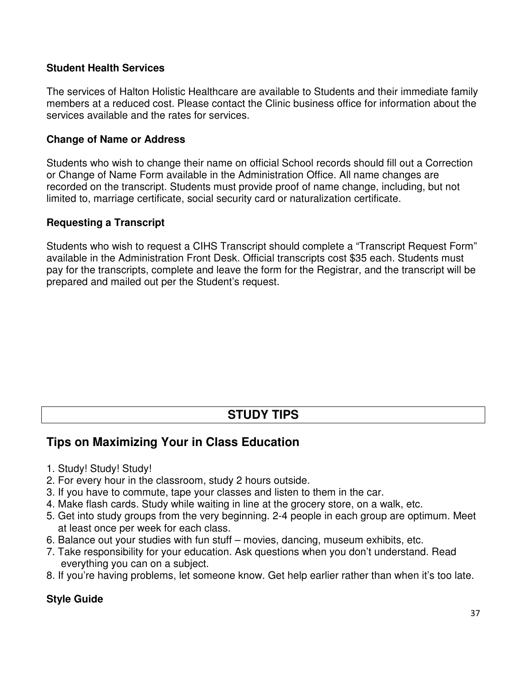### **Student Health Services**

The services of Halton Holistic Healthcare are available to Students and their immediate family members at a reduced cost. Please contact the Clinic business office for information about the services available and the rates for services.

### **Change of Name or Address**

Students who wish to change their name on official School records should fill out a Correction or Change of Name Form available in the Administration Office. All name changes are recorded on the transcript. Students must provide proof of name change, including, but not limited to, marriage certificate, social security card or naturalization certificate.

### **Requesting a Transcript**

Students who wish to request a CIHS Transcript should complete a "Transcript Request Form" available in the Administration Front Desk. Official transcripts cost \$35 each. Students must pay for the transcripts, complete and leave the form for the Registrar, and the transcript will be prepared and mailed out per the Student's request.

# **STUDY TIPS**

# **Tips on Maximizing Your in Class Education**

- 1. Study! Study! Study!
- 2. For every hour in the classroom, study 2 hours outside.
- 3. If you have to commute, tape your classes and listen to them in the car.
- 4. Make flash cards. Study while waiting in line at the grocery store, on a walk, etc.
- 5. Get into study groups from the very beginning. 2-4 people in each group are optimum. Meet at least once per week for each class.
- 6. Balance out your studies with fun stuff movies, dancing, museum exhibits, etc.
- 7. Take responsibility for your education. Ask questions when you don't understand. Read everything you can on a subject.
- 8. If you're having problems, let someone know. Get help earlier rather than when it's too late.

### **Style Guide**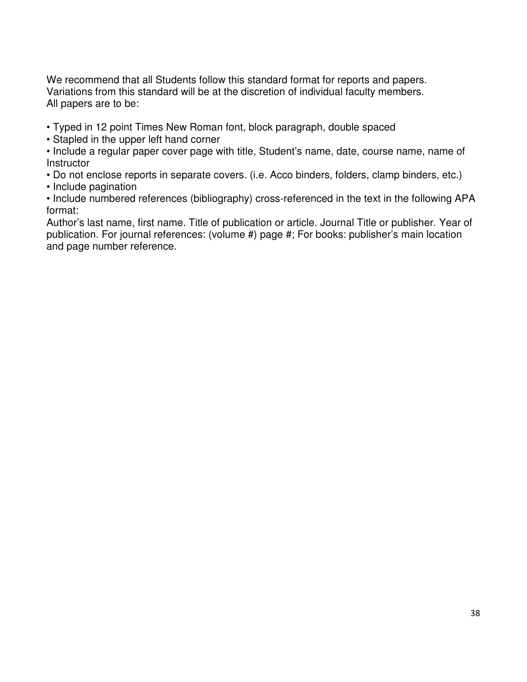We recommend that all Students follow this standard format for reports and papers. Variations from this standard will be at the discretion of individual faculty members. All papers are to be:

• Typed in 12 point Times New Roman font, block paragraph, double spaced

• Stapled in the upper left hand corner

• Include a regular paper cover page with title, Student's name, date, course name, name of **Instructor** 

• Do not enclose reports in separate covers. (i.e. Acco binders, folders, clamp binders, etc.)

• Include pagination

• Include numbered references (bibliography) cross-referenced in the text in the following APA format:

Author's last name, first name. Title of publication or article. Journal Title or publisher. Year of publication. For journal references: (volume #) page #; For books: publisher's main location and page number reference.